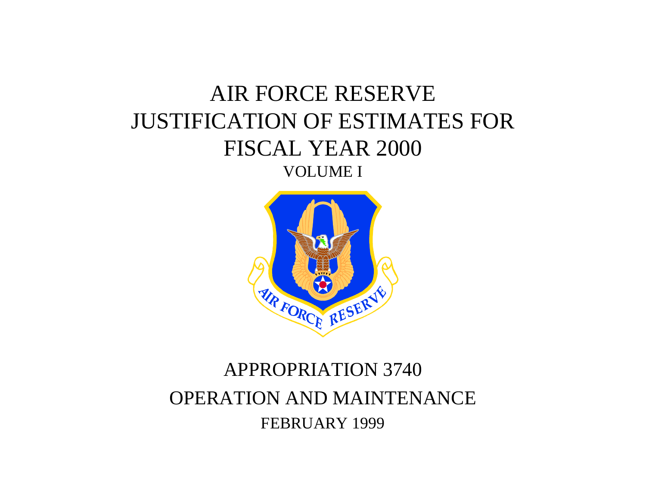# AIR FORCE RESERVE JUSTIFICATION OF ESTIMATES FOR FISCAL YEAR 2000 VOLUME I



# APPROPRIATION 3740 OPERATION AND MAINTENANCE FEBRUARY 1999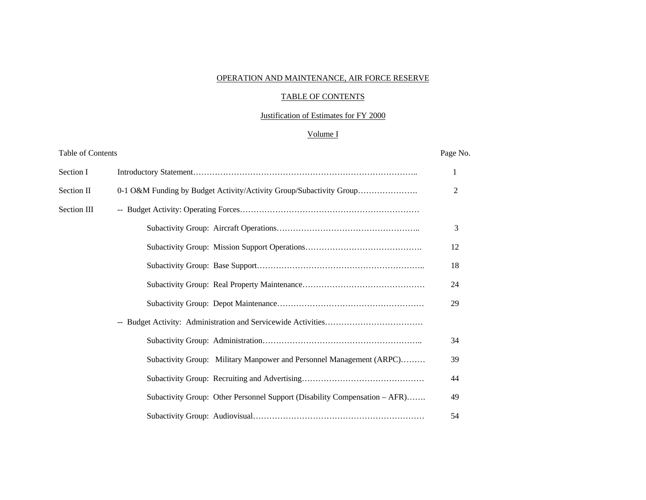#### OPERATION AND MAINTENANCE, AIR FORCE RESERVE

#### TABLE OF CONTENTS

## Justification of Estimates for FY 2000

# Volume I

| Table of Contents |                                                                            | Page No.       |
|-------------------|----------------------------------------------------------------------------|----------------|
| Section I         |                                                                            | 1              |
| Section II        | 0-1 O&M Funding by Budget Activity/Activity Group/Subactivity Group        | $\overline{2}$ |
| Section III       |                                                                            |                |
|                   |                                                                            | 3              |
|                   |                                                                            | 12             |
|                   |                                                                            | 18             |
|                   |                                                                            | 24             |
|                   |                                                                            | 29             |
|                   |                                                                            |                |
|                   |                                                                            | 34             |
|                   | Subactivity Group: Military Manpower and Personnel Management (ARPC)       | 39             |
|                   |                                                                            | 44             |
|                   | Subactivity Group: Other Personnel Support (Disability Compensation – AFR) | 49             |
|                   |                                                                            | 54             |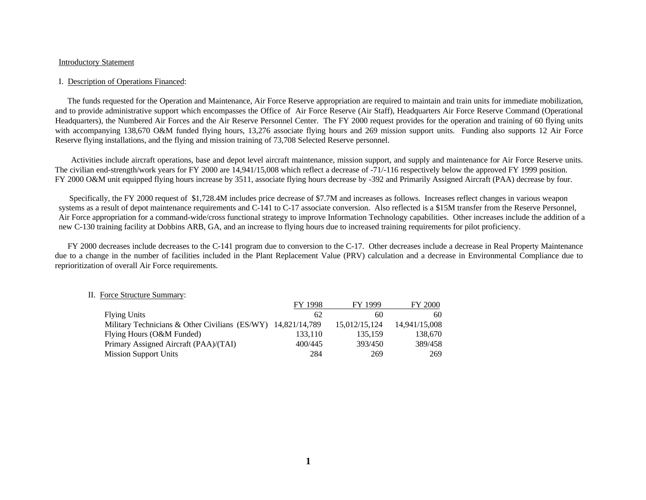#### Introductory Statement

#### I. Description of Operations Financed:

 The funds requested for the Operation and Maintenance, Air Force Reserve appropriation are required to maintain and train units for immediate mobilization, and to provide administrative support which encompasses the Office of Air Force Reserve (Air Staff), Headquarters Air Force Reserve Command (Operational Headquarters), the Numbered Air Forces and the Air Reserve Personnel Center. The FY 2000 request provides for the operation and training of 60 flying units with accompanying 138,670 O&M funded flying hours, 13,276 associate flying hours and 269 mission support units. Funding also supports 12 Air Force Reserve flying installations, and the flying and mission training of 73,708 Selected Reserve personnel.

 Activities include aircraft operations, base and depot level aircraft maintenance, mission support, and supply and maintenance for Air Force Reserve units. The civilian end-strength/work years for FY 2000 are 14,941/15,008 which reflect a decrease of -71/-116 respectively below the approved FY 1999 position. FY 2000 O&M unit equipped flying hours increase by 3511, associate flying hours decrease by -392 and Primarily Assigned Aircraft (PAA) decrease by four.

 Specifically, the FY 2000 request of \$1,728.4M includes price decrease of \$7.7M and increases as follows. Increases reflect changes in various weapon systems as a result of depot maintenance requirements and C-141 to C-17 associate conversion. Also reflected is a \$15M transfer from the Reserve Personnel, Air Force appropriation for a command-wide/cross functional strategy to improve Information Technology capabilities. Other increases include the addition of a new C-130 training facility at Dobbins ARB, GA, and an increase to flying hours due to increased training requirements for pilot proficiency.

 FY 2000 decreases include decreases to the C-141 program due to conversion to the C-17. Other decreases include a decrease in Real Property Maintenance due to a change in the number of facilities included in the Plant Replacement Value (PRV) calculation and a decrease in Environmental Compliance due to reprioritization of overall Air Force requirements.

|                                                              | FY 1998 | FY 1999       | <b>FY 2000</b> |
|--------------------------------------------------------------|---------|---------------|----------------|
| <b>Flying Units</b>                                          | 62      | 60            | 60             |
| Military Technicians & Other Civilians (ES/WY) 14,821/14,789 |         | 15,012/15,124 | 14,941/15,008  |
| Flying Hours (O&M Funded)                                    | 133.110 | 135,159       | 138,670        |
| Primary Assigned Aircraft (PAA)/(TAI)                        | 400/445 | 393/450       | 389/458        |
| <b>Mission Support Units</b>                                 | 284     | 269           | 269            |

#### II. Force Structure Summary: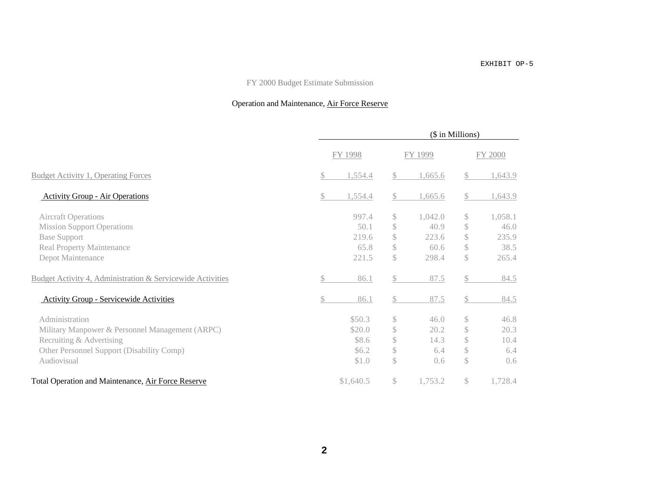#### EXHIBIT OP-5

## FY 2000 Budget Estimate Submission

## Operation and Maintenance, Air Force Reserve

|                                                            |              |           |              |         | (\$ in Millions) |         |  |
|------------------------------------------------------------|--------------|-----------|--------------|---------|------------------|---------|--|
|                                                            |              | FY 1998   |              | FY 1999 |                  | FY 2000 |  |
| <b>Budget Activity 1, Operating Forces</b>                 | $\mathbb{S}$ | 1,554.4   | \$           | 1,665.6 | \$               | 1,643.9 |  |
| <b>Activity Group - Air Operations</b>                     | \$           | 1,554.4   | \$           | 1,665.6 | \$               | 1,643.9 |  |
| <b>Aircraft Operations</b>                                 |              | 997.4     | $\mathbb{S}$ | 1,042.0 | \$               | 1,058.1 |  |
| <b>Mission Support Operations</b>                          |              | 50.1      | \$           | 40.9    | \$               | 46.0    |  |
| <b>Base Support</b>                                        |              | 219.6     | \$           | 223.6   | \$               | 235.9   |  |
| <b>Real Property Maintenance</b>                           |              | 65.8      | \$           | 60.6    | \$               | 38.5    |  |
| Depot Maintenance                                          |              | 221.5     | \$           | 298.4   | \$               | 265.4   |  |
| Budget Activity 4, Administration & Servicewide Activities | \$           | 86.1      | \$           | 87.5    | \$               | 84.5    |  |
| <b>Activity Group - Servicewide Activities</b>             | \$           | 86.1      | \$           | 87.5    | \$               | 84.5    |  |
| Administration                                             |              | \$50.3    | \$           | 46.0    | \$               | 46.8    |  |
| Military Manpower & Personnel Management (ARPC)            |              | \$20.0    | \$           | 20.2    | \$               | 20.3    |  |
| Recruiting & Advertising                                   |              | \$8.6     | \$           | 14.3    | \$               | 10.4    |  |
| Other Personnel Support (Disability Comp)                  |              | \$6.2\$   | \$           | 6.4     | \$               | 6.4     |  |
| Audiovisual                                                |              | \$1.0     | $\mathbb{S}$ | 0.6     | $\mathbb{S}$     | 0.6     |  |
| Total Operation and Maintenance, Air Force Reserve         |              | \$1,640.5 | \$           | 1,753.2 | \$               | 1,728.4 |  |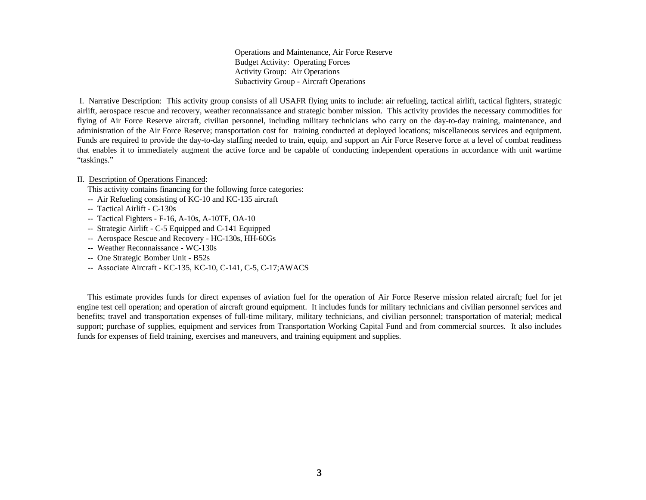Operations and Maintenance, Air Force Reserve Budget Activity: Operating Forces Activity Group: Air Operations Subactivity Group - Aircraft Operations

 I. Narrative Description: This activity group consists of all USAFR flying units to include: air refueling, tactical airlift, tactical fighters, strategic airlift, aerospace rescue and recovery, weather reconnaissance and strategic bomber mission. This activity provides the necessary commodities for flying of Air Force Reserve aircraft, civilian personnel, including military technicians who carry on the day-to-day training, maintenance, and administration of the Air Force Reserve; transportation cost for training conducted at deployed locations; miscellaneous services and equipment. Funds are required to provide the day-to-day staffing needed to train, equip, and support an Air Force Reserve force at a level of combat readiness that enables it to immediately augment the active force and be capable of conducting independent operations in accordance with unit wartime "taskings."

#### II. Description of Operations Financed:

This activity contains financing for the following force categories:

- -- Air Refueling consisting of KC-10 and KC-135 aircraft
- -- Tactical Airlift C-130s
- -- Tactical Fighters F-16, A-10s, A-10TF, OA-10
- -- Strategic Airlift C-5 Equipped and C-141 Equipped
- -- Aerospace Rescue and Recovery HC-130s, HH-60Gs
- -- Weather Reconnaissance WC-130s
- -- One Strategic Bomber Unit B52s
- -- Associate Aircraft KC-135, KC-10, C-141, C-5, C-17;AWACS

 This estimate provides funds for direct expenses of aviation fuel for the operation of Air Force Reserve mission related aircraft; fuel for jet engine test cell operation; and operation of aircraft ground equipment. It includes funds for military technicians and civilian personnel services and benefits; travel and transportation expenses of full-time military, military technicians, and civilian personnel; transportation of material; medical support; purchase of supplies, equipment and services from Transportation Working Capital Fund and from commercial sources. It also includes funds for expenses of field training, exercises and maneuvers, and training equipment and supplies.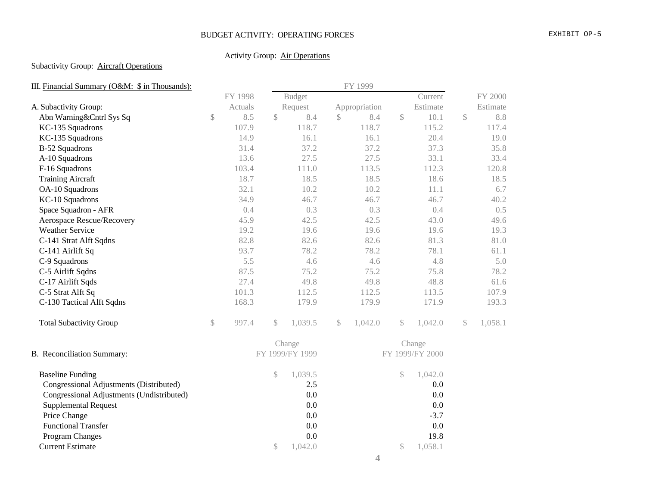## BUDGET ACTIVITY: OPERATING FORCES EXHIBIT OP-5

## Activity Group: Air Operations

## Subactivity Group: **Aircraft Operations**

| III. Financial Summary (O&M: \$ in Thousands): |               | FY 1999 |              |                 |               |               |               |                 |               |          |
|------------------------------------------------|---------------|---------|--------------|-----------------|---------------|---------------|---------------|-----------------|---------------|----------|
|                                                |               | FY 1998 |              | <b>Budget</b>   |               |               |               | Current         |               | FY 2000  |
| A. Subactivity Group:                          |               | Actuals |              | Request         |               | Appropriation |               | Estimate        |               | Estimate |
| Abn Warning&Cntrl Sys Sq                       | $\mathcal{S}$ | 8.5     | $\mathbb{S}$ | 8.4             | $\mathcal{S}$ | 8.4           | $\sqrt$       | 10.1            | $\mathcal{S}$ | 8.8      |
| KC-135 Squadrons                               |               | 107.9   |              | 118.7           |               | 118.7         |               | 115.2           |               | 117.4    |
| KC-135 Squadrons                               |               | 14.9    |              | 16.1            |               | 16.1          |               | 20.4            |               | 19.0     |
| B-52 Squadrons                                 |               | 31.4    |              | 37.2            |               | 37.2          |               | 37.3            |               | 35.8     |
| A-10 Squadrons                                 |               | 13.6    |              | 27.5            |               | 27.5          |               | 33.1            |               | 33.4     |
| F-16 Squadrons                                 |               | 103.4   |              | 111.0           |               | 113.5         |               | 112.3           |               | 120.8    |
| <b>Training Aircraft</b>                       |               | 18.7    |              | 18.5            |               | 18.5          |               | 18.6            |               | 18.5     |
| OA-10 Squadrons                                |               | 32.1    |              | 10.2            |               | 10.2          |               | 11.1            |               | 6.7      |
| KC-10 Squadrons                                |               | 34.9    |              | 46.7            |               | 46.7          |               | 46.7            |               | 40.2     |
| Space Squadron - AFR                           |               | 0.4     |              | 0.3             |               | 0.3           |               | 0.4             |               | 0.5      |
| Aerospace Rescue/Recovery                      |               | 45.9    |              | 42.5            |               | 42.5          |               | 43.0            |               | 49.6     |
| <b>Weather Service</b>                         |               | 19.2    |              | 19.6            |               | 19.6          |               | 19.6            |               | 19.3     |
| C-141 Strat Alft Sqdns                         |               | 82.8    |              | 82.6            |               | 82.6          |               | 81.3            |               | 81.0     |
| C-141 Airlift Sq                               |               | 93.7    |              | 78.2            |               | 78.2          |               | 78.1            |               | 61.1     |
| C-9 Squadrons                                  |               | 5.5     |              | 4.6             |               | 4.6           |               | 4.8             |               | 5.0      |
| C-5 Airlift Sqdns                              |               | 87.5    |              | 75.2            |               | 75.2          |               | 75.8            |               | 78.2     |
| C-17 Airlift Sqds                              |               | 27.4    |              | 49.8            |               | 49.8          |               | 48.8            |               | 61.6     |
| C-5 Strat Alft Sq                              |               | 101.3   |              | 112.5           |               | 112.5         |               | 113.5           |               | 107.9    |
| C-130 Tactical Alft Sqdns                      |               | 168.3   |              | 179.9           |               | 179.9         |               | 171.9           |               | 193.3    |
| <b>Total Subactivity Group</b>                 | $\mathbb{S}$  | 997.4   | $\mathbb{S}$ | 1,039.5         | $\mathcal{S}$ | 1,042.0       | $\mathbb{S}$  | 1,042.0         | $\mathbb{S}$  | 1,058.1  |
|                                                |               |         |              | Change          |               |               |               | Change          |               |          |
| <b>B.</b> Reconciliation Summary:              |               |         |              | FY 1999/FY 1999 |               |               |               | FY 1999/FY 2000 |               |          |
| <b>Baseline Funding</b>                        |               |         | \$           | 1,039.5         |               |               | $\mathcal{S}$ | 1,042.0         |               |          |
| Congressional Adjustments (Distributed)        |               |         |              | 2.5             |               |               |               | 0.0             |               |          |
| Congressional Adjustments (Undistributed)      |               |         |              | 0.0             |               |               |               | 0.0             |               |          |
| <b>Supplemental Request</b>                    |               |         |              | 0.0             |               |               |               | 0.0             |               |          |
| Price Change                                   |               |         |              | 0.0             |               |               |               | $-3.7$          |               |          |
| <b>Functional Transfer</b>                     |               |         |              | 0.0             |               |               |               | 0.0             |               |          |
| <b>Program Changes</b>                         |               |         |              | 0.0             |               |               |               | 19.8            |               |          |
| <b>Current Estimate</b>                        |               |         | \$           | 1,042.0         |               |               | $\mathcal{S}$ | 1,058.1         |               |          |
|                                                |               |         |              |                 |               |               |               |                 |               |          |

**4**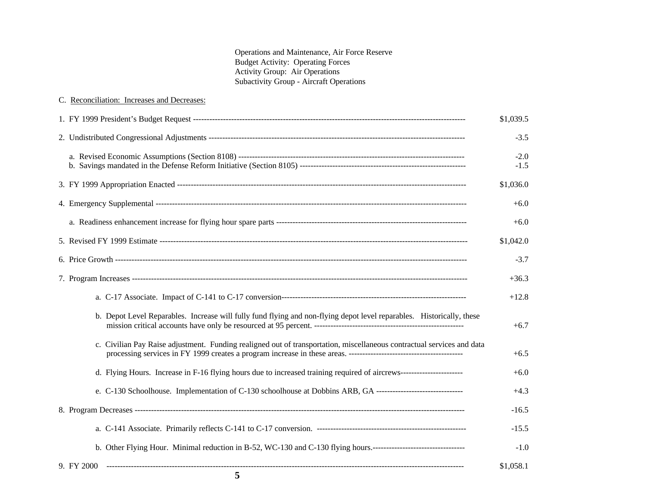Operations and Maintenance, Air Force Reserve Budget Activity: Operating Forces Activity Group: Air Operations Subactivity Group - Aircraft Operations

| 5                                                                                                                      |                     |
|------------------------------------------------------------------------------------------------------------------------|---------------------|
| 9. FY 2000                                                                                                             | $-1.0$<br>\$1,058.1 |
|                                                                                                                        | $-15.5$             |
|                                                                                                                        | $-16.5$             |
| e. C-130 Schoolhouse. Implementation of C-130 schoolhouse at Dobbins ARB, GA ---------------------------------         | $+4.3$              |
| d. Flying Hours. Increase in F-16 flying hours due to increased training required of aircrews----------------------    | $+6.0$              |
| c. Civilian Pay Raise adjustment. Funding realigned out of transportation, miscellaneous contractual services and data | $+6.5$              |
| b. Depot Level Reparables. Increase will fully fund flying and non-flying depot level reparables. Historically, these  | $+6.7$              |
|                                                                                                                        | $+12.8$             |
|                                                                                                                        | $+36.3$             |
|                                                                                                                        | $-3.7$              |
|                                                                                                                        | \$1,042.0           |
|                                                                                                                        | $+6.0$              |
|                                                                                                                        | $+6.0$              |
|                                                                                                                        | \$1,036.0           |
|                                                                                                                        | $-2.0$<br>$-1.5$    |
|                                                                                                                        | $-3.5$              |
|                                                                                                                        | \$1,039.5           |
| C. Reconciliation: Increases and Decreases:                                                                            |                     |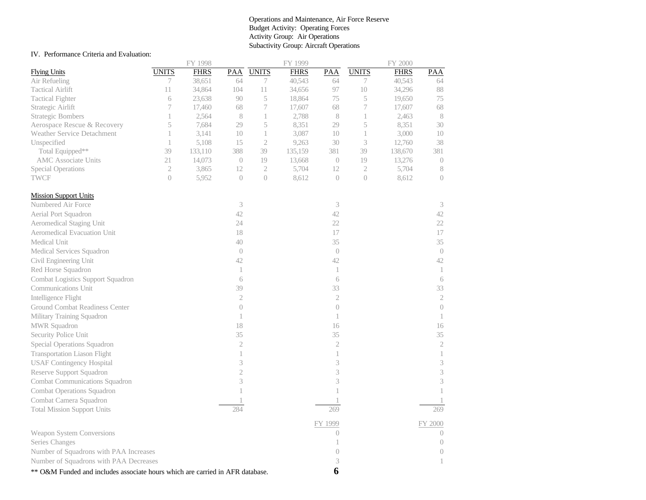#### Operations and Maintenance, Air Force Reserve Budget Activity: Operating Forces Activity Group: Air Operations Subactivity Group: Aircraft Operations

#### IV. Performance Criteria and Evaluation:

|                                                                               |                | FY 1998     |                |                  | FY 1999     |                     |                             | FY 2000     |                             |
|-------------------------------------------------------------------------------|----------------|-------------|----------------|------------------|-------------|---------------------|-----------------------------|-------------|-----------------------------|
| <b>Flying Units</b>                                                           | <b>UNITS</b>   | <b>FHRS</b> | PAA            | <b>UNITS</b>     | <b>FHRS</b> | PAA                 | <b>UNITS</b>                | <b>FHRS</b> | PAA                         |
| Air Refueling                                                                 | 7              | 38,651      | 64             | 7                | 40,543      | 64                  | 7                           | 40,543      | 64                          |
| <b>Tactical Airlift</b>                                                       | 11             | 34,864      | 104            | 11               | 34,656      | 97                  | 10                          | 34,296      | 88                          |
| <b>Tactical Fighter</b>                                                       | 6              | 23,638      | 90             | $\,$ $\,$ $\,$   | 18,864      | 75                  | $\mathcal S$                | 19,650      | 75                          |
| Strategic Airlift                                                             | 7              | 17,460      | 68             | $\boldsymbol{7}$ | 17,607      | 68                  | $\boldsymbol{7}$            | 17,607      | 68                          |
| <b>Strategic Bombers</b>                                                      | 1              | 2,564       | 8              | $\mathbf{1}$     | 2,788       | 8                   | 1                           | 2,463       | 8                           |
| Aerospace Rescue & Recovery                                                   | 5              | 7,684       | 29             | 5                | 8,351       | 29                  | 5                           | 8,351       | 30                          |
| <b>Weather Service Detachment</b>                                             | 1              | 3,141       | 10             | $\mathbf{1}$     | 3,087       | 10                  | 1                           | 3,000       | 10                          |
| Unspecified                                                                   | $\mathbf{1}$   | 5,108       | 15             | $\sqrt{2}$       | 9,263       | 30                  | $\ensuremath{\mathfrak{Z}}$ | 12,760      | 38                          |
| Total Equipped**                                                              | 39             | 133,110     | 388            | 39               | 135,159     | 381                 | 39                          | 138,670     | 381                         |
| <b>AMC</b> Associate Units                                                    | 21             | 14,073      | $\overline{0}$ | 19               | 13,668      | $\overline{0}$      | 19                          | 13,276      | $\overline{0}$              |
| <b>Special Operations</b>                                                     | $\sqrt{2}$     | 3,865       | 12             | $\mathfrak 2$    | 5,704       | 12                  | $\mathfrak 2$               | 5,704       | $\,$ $\,$                   |
| <b>TWCF</b>                                                                   | $\overline{0}$ | 5,952       | $\overline{0}$ | $\overline{0}$   | 8,612       | $\overline{0}$      | $\overline{0}$              | 8,612       | $\overline{0}$              |
| <b>Mission Support Units</b>                                                  |                |             |                |                  |             |                     |                             |             |                             |
| Numbered Air Force                                                            |                |             | 3              |                  |             | 3                   |                             |             | 3                           |
| Aerial Port Squadron                                                          |                |             | 42             |                  |             | 42                  |                             |             | 42                          |
| Aeromedical Staging Unit                                                      |                |             | 24             |                  |             | 22                  |                             |             | 22                          |
| Aeromedical Evacuation Unit                                                   |                |             | 18             |                  |             | 17                  |                             |             | 17                          |
| Medical Unit                                                                  |                |             | 40             |                  |             | 35                  |                             |             | 35                          |
| Medical Services Squadron                                                     |                |             | $\sqrt{a}$     |                  |             | $\Large{()}$        |                             |             | $\left( \right)$            |
| Civil Engineering Unit                                                        |                |             | 42             |                  |             | 42                  |                             |             | 42                          |
| Red Horse Squadron                                                            |                |             | $\mathbf{1}$   |                  |             | $\mathbf{1}$        |                             |             | $\mathbf{1}$                |
| Combat Logistics Support Squadron                                             |                |             | 6              |                  |             | 6                   |                             |             | 6                           |
| Communications Unit                                                           |                |             | 39             |                  |             | 33                  |                             |             | 33                          |
| Intelligence Flight                                                           |                |             | $\sqrt{2}$     |                  |             | $\sqrt{2}$          |                             |             | $\sqrt{2}$                  |
| Ground Combat Readiness Center                                                |                |             | $\overline{0}$ |                  |             | $\overline{0}$      |                             |             | $\overline{0}$              |
| Military Training Squadron                                                    |                |             | $\mathbf{1}$   |                  |             | $\mathbf{1}$        |                             |             | 1                           |
| MWR Squadron                                                                  |                |             | 18             |                  |             | 16                  |                             |             | 16                          |
| Security Police Unit                                                          |                |             | 35             |                  |             | 35                  |                             |             | 35                          |
| Special Operations Squadron                                                   |                |             | $\overline{2}$ |                  |             | $\overline{2}$      |                             |             | $\sqrt{2}$                  |
| <b>Transportation Liason Flight</b>                                           |                |             | $\mathbf{1}$   |                  |             | $\mathbf{1}$        |                             |             | $\mathbf{1}$                |
| <b>USAF Contingency Hospital</b>                                              |                |             | 3              |                  |             | 3                   |                             |             | $\ensuremath{\mathfrak{Z}}$ |
| Reserve Support Squadron                                                      |                |             | $\overline{c}$ |                  |             | 3                   |                             |             | 3                           |
| Combat Communications Squadron                                                |                |             | 3              |                  |             | 3                   |                             |             | 3                           |
| <b>Combat Operations Squadron</b>                                             |                |             | 1              |                  |             |                     |                             |             | 1                           |
| Combat Camera Squadron                                                        |                |             |                |                  |             |                     |                             |             |                             |
| <b>Total Mission Support Units</b>                                            |                |             | 284            |                  |             | 269                 |                             |             | 269                         |
|                                                                               |                |             |                |                  |             |                     |                             |             |                             |
| Weapon System Conversions                                                     |                |             |                |                  |             | FY 1999<br>$\theta$ |                             |             | FY 2000<br>$\theta$         |
| Series Changes                                                                |                |             |                |                  |             | 1                   |                             |             | $\Large{0}$                 |
| Number of Squadrons with PAA Increases                                        |                |             |                |                  |             | $\overline{0}$      |                             |             | $\sqrt{a}$                  |
|                                                                               |                |             |                |                  |             |                     |                             |             |                             |
| Number of Squadrons with PAA Decreases                                        |                |             |                |                  |             | 3                   |                             |             |                             |
| ** O&M Funded and includes associate hours which are carried in AFR database. |                |             |                |                  |             | 6                   |                             |             |                             |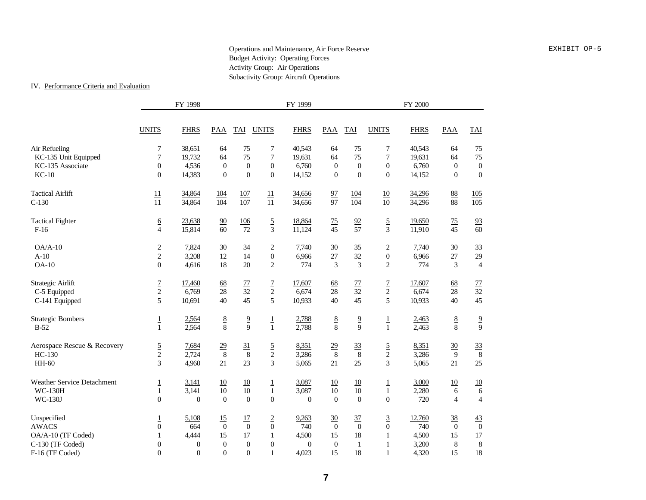#### Operations and Maintenance, Air Force Reserve **EXHIBIT OP-5** Budget Activity: Operating Forces Activity Group: Air Operations Subactivity Group: Aircraft Operations

#### IV. Performance Criteria and Evaluation

|                                                         |                                                    | FY 1998                          |                              |                                   |                                              | FY 1999                    |                                  |                                  |                                                      | <b>FY 2000</b>            |                                    |                                         |
|---------------------------------------------------------|----------------------------------------------------|----------------------------------|------------------------------|-----------------------------------|----------------------------------------------|----------------------------|----------------------------------|----------------------------------|------------------------------------------------------|---------------------------|------------------------------------|-----------------------------------------|
|                                                         | <b>UNITS</b>                                       | <b>FHRS</b>                      | PAA                          | TAI                               | <b>UNITS</b>                                 | <b>FHRS</b>                | <b>PAA</b>                       | TAI                              | <b>UNITS</b>                                         | <b>FHRS</b>               | PAA                                | TAI                                     |
| Air Refueling<br>KC-135 Unit Equipped                   | $rac{7}{7}$                                        | 38,651<br>19,732                 | 64<br>64                     | $\frac{75}{2}$<br>$\overline{75}$ | $\overline{1}$<br>$\overline{7}$             | 40,543<br>19,631           | 64<br>64                         | 75<br>$\overline{75}$            | $\overline{1}$<br>$\overline{7}$                     | 40,543<br>19,631          | 64<br>64                           | $\frac{75}{75}$                         |
| KC-135 Associate<br>$KC-10$                             | $\overline{0}$<br>$\Omega$                         | 4,536<br>14,383                  | $\boldsymbol{0}$<br>$\Omega$ | $\theta$<br>$\Omega$              | $\overline{0}$<br>$\Omega$                   | 6,760<br>14,152            | $\boldsymbol{0}$<br>$\mathbf{0}$ | $\overline{0}$<br>$\Omega$       | $\boldsymbol{0}$<br>$\Omega$                         | 6,760<br>14,152           | $\boldsymbol{0}$<br>$\overline{0}$ | $\boldsymbol{0}$<br>$\overline{0}$      |
| <b>Tactical Airlift</b><br>$C-130$                      | $\overline{11}$<br>11                              | 34,864<br>34,864                 | 104<br>$\overline{104}$      | <u>107</u><br>$\overline{107}$    | 11<br>$\overline{11}$                        | 34,656<br>34,656           | $\frac{97}{97}$                  | $\frac{104}{104}$                | $\frac{10}{10}$                                      | 34,296<br>34,296          | $\frac{88}{88}$                    | $\frac{105}{105}$                       |
| <b>Tactical Fighter</b><br>$F-16$                       | $\frac{6}{4}$                                      | 23,638<br>15,814                 | $\frac{90}{60}$              | <u>106</u><br>$\overline{72}$     | $rac{5}{3}$                                  | 18,864<br>11,124           | $\frac{75}{45}$                  | $\frac{92}{57}$                  | $rac{5}{3}$                                          | 19,650<br>11,910          | 75<br>$\overline{45}$              | $\frac{93}{60}$                         |
| $OA/A-10$<br>$A-10$<br>$OA-10$                          | $\overline{c}$<br>$\overline{c}$<br>$\overline{0}$ | 7,824<br>3,208<br>4,616          | 30<br>12<br>18               | 34<br>14<br>20                    | $\overline{c}$<br>$\theta$<br>$\overline{2}$ | 7,740<br>6,966<br>774      | 30<br>27<br>3                    | 35<br>32<br>3                    | $\overline{2}$<br>$\boldsymbol{0}$<br>$\overline{2}$ | 7,740<br>6,966<br>774     | 30<br>27<br>3                      | 33<br>29<br>$\overline{4}$              |
| Strategic Airlift<br>C-5 Equipped<br>C-141 Equipped     | $\frac{7}{2}$<br>5                                 | 17,460<br>6,769<br>10,691        | 68<br>28<br>40               | $\frac{77}{32}$<br>45             | $\frac{7}{2}$<br>5                           | 17,607<br>6,674<br>10,933  | 68<br>28<br>40                   | $\frac{77}{32}$<br>45            | $\frac{7}{2}$<br>5                                   | 17,607<br>6,674<br>10,933 | 68<br>28<br>40                     | $\frac{77}{32}$<br>45                   |
| <b>Strategic Bombers</b><br>$B-52$                      | $\frac{1}{1}$                                      | 2,564<br>2,564                   | $\frac{8}{8}$                | $\frac{9}{9}$                     | $\frac{1}{1}$                                | 2,788<br>2,788             | $\frac{8}{8}$                    | $\frac{9}{9}$                    | $\frac{1}{1}$                                        | 2,463<br>2,463            | $\frac{8}{8}$                      | $\frac{9}{9}$                           |
| Aerospace Rescue & Recovery<br>HC-130<br>HH-60          | $rac{5}{2}$<br>$\overline{3}$                      | 7,684<br>2,724<br>4,960          | $\frac{29}{8}$<br>21         | $\frac{31}{8}$<br>23              | $rac{5}{2}$<br>3                             | 8,351<br>3,286<br>5,065    | $\frac{29}{8}$<br>21             | $\frac{33}{8}$<br>25             | $rac{5}{2}$<br>$\mathfrak{Z}$                        | 8,351<br>3,286<br>5,065   | $\frac{30}{9}$<br>21               | $\frac{33}{8}$<br>25                    |
| Weather Service Detachment<br><b>WC-130H</b><br>WC-130J | $\overline{1}$<br>$\mathbf{1}$<br>$\theta$         | 3,141<br>3,141<br>$\overline{0}$ | 10<br>10<br>$\theta$         | 10<br>10<br>$\Omega$              | $\overline{1}$<br>$\mathbf{1}$<br>$\theta$   | 3,087<br>3,087<br>$\theta$ | 10<br>10<br>$\theta$             | 10<br>10<br>$\theta$             | $\underline{1}$<br>$\mathbf{1}$<br>$\mathbf{0}$      | 3,000<br>2,280<br>720     | 10<br>$\sqrt{6}$<br>$\overline{4}$ | 10<br>6<br>$\overline{4}$               |
| Unspecified<br><b>AWACS</b><br>OA/A-10 (TF Coded)       | $\overline{1}$<br>$\overline{0}$<br>$\mathbf{1}$   | 5,108<br>664<br>4,444            | 15<br>$\Omega$<br>15         | 17<br>$\Omega$<br>17              | $\underline{2}$<br>$\theta$<br>1             | 9,263<br>740<br>4,500      | 30<br>$\overline{0}$<br>15       | $\frac{37}{2}$<br>$\theta$<br>18 | $\underline{3}$<br>$\mathbf{0}$<br>1                 | 12,760<br>740<br>4,500    | 38<br>$\theta$<br>15               | $\overline{43}$<br>$\overline{0}$<br>17 |
| C-130 (TF Coded)<br>F-16 (TF Coded)                     | $\boldsymbol{0}$<br>$\theta$                       | $\mathbf{0}$<br>$\overline{0}$   | $\boldsymbol{0}$<br>$\theta$ | $\boldsymbol{0}$<br>$\theta$      | $\boldsymbol{0}$<br>$\mathbf{1}$             | $\mathbf{0}$<br>4,023      | $\boldsymbol{0}$<br>15           | $\mathbf{1}$<br>18               | $\mathbf{1}$<br>$\mathbf{1}$                         | 3,200<br>4,320            | $\,$ 8 $\,$<br>15                  | $\,8\,$<br>18                           |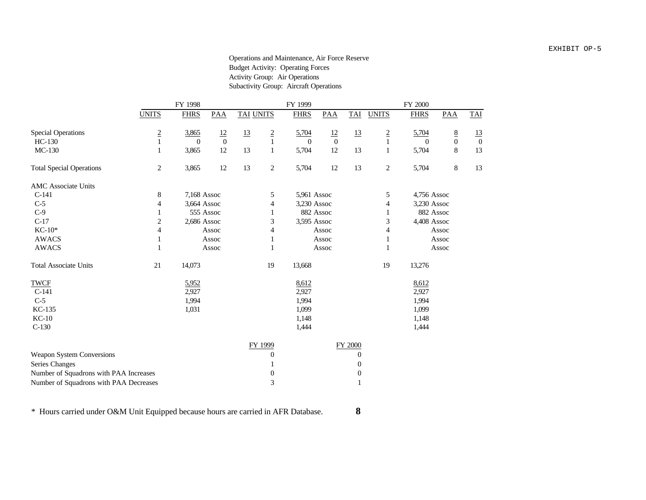#### Operations and Maintenance, Air Force Reserve Budget Activity: Operating Forces Activity Group: Air Operations Subactivity Group: Aircraft Operations

|                                        |                | FY 1998     |                |                  |                  | FY 1999     |                |                  |                  | FY 2000     |               |                  |
|----------------------------------------|----------------|-------------|----------------|------------------|------------------|-------------|----------------|------------------|------------------|-------------|---------------|------------------|
|                                        | <b>UNITS</b>   | <b>FHRS</b> | <b>PAA</b>     | <b>TAI UNITS</b> |                  | <b>FHRS</b> | PAA            | <b>TAI</b>       | <b>UNITS</b>     | <b>FHRS</b> | PAA           | TAI              |
| <b>Special Operations</b>              | $\frac{2}{1}$  | 3,865       | $\frac{12}{0}$ | 13               | $\frac{2}{1}$    | 5,704       | $\frac{12}{0}$ | 13               | $\frac{2}{1}$    | 5,704       | $\frac{8}{0}$ | <u>13</u>        |
| HC-130                                 |                | $\Omega$    |                |                  |                  | $\theta$    |                |                  |                  | $\Omega$    |               | $\boldsymbol{0}$ |
| MC-130                                 | $\mathbf{1}$   | 3,865       | 12             | 13               | $\mathbf{1}$     | 5,704       | 12             | 13               | 1                | 5,704       | $\,8\,$       | 13               |
| <b>Total Special Operations</b>        | $\overline{c}$ | 3,865       | $12\,$         | 13               | $\sqrt{2}$       | 5,704       | 12             | 13               | $\boldsymbol{2}$ | 5,704       | $\,$ 8 $\,$   | 13               |
| <b>AMC</b> Associate Units             |                |             |                |                  |                  |             |                |                  |                  |             |               |                  |
| $C-141$                                | 8              | 7,168 Assoc |                |                  | $\sqrt{5}$       | 5,961 Assoc |                |                  | 5                | 4,756 Assoc |               |                  |
| $C-5$                                  | 4              | 3,664 Assoc |                |                  | 4                | 3,230 Assoc |                |                  | 4                | 3,230 Assoc |               |                  |
| $C-9$                                  |                |             | 555 Assoc      |                  |                  | 882 Assoc   |                |                  |                  | 882 Assoc   |               |                  |
| $C-17$                                 | 2              | 2,686 Assoc |                |                  | 3                | 3,595 Assoc |                |                  | 3                | 4,408 Assoc |               |                  |
| $KC-10*$                               | 4              |             | Assoc          |                  | 4                |             | Assoc          |                  | 4                |             | Assoc         |                  |
| <b>AWACS</b>                           | 1              |             | Assoc          |                  | $\mathbf{1}$     |             | Assoc          |                  | 1                |             | Assoc         |                  |
| <b>AWACS</b>                           | 1              |             | Assoc          |                  | $\mathbf{1}$     |             | Assoc          |                  | 1                |             | Assoc         |                  |
| <b>Total Associate Units</b>           | 21             | 14,073      |                |                  | 19               | 13,668      |                |                  | 19               | 13,276      |               |                  |
| <b>TWCF</b>                            |                | 5,952       |                |                  |                  | 8,612       |                |                  |                  | 8,612       |               |                  |
| $C-141$                                |                | 2,927       |                |                  |                  | 2,927       |                |                  |                  | 2,927       |               |                  |
| $C-5$                                  |                | 1,994       |                |                  |                  | 1,994       |                |                  |                  | 1,994       |               |                  |
| KC-135                                 |                | 1,031       |                |                  |                  | 1,099       |                |                  |                  | 1,099       |               |                  |
| $KC-10$                                |                |             |                |                  |                  | 1,148       |                |                  |                  | 1,148       |               |                  |
| $C-130$                                |                |             |                |                  |                  | 1,444       |                |                  |                  | 1,444       |               |                  |
|                                        |                |             |                |                  | FY 1999          |             |                | FY 2000          |                  |             |               |                  |
| Weapon System Conversions              |                |             |                |                  | $\boldsymbol{0}$ |             |                | $\theta$         |                  |             |               |                  |
| Series Changes                         |                |             |                |                  |                  |             |                | $\boldsymbol{0}$ |                  |             |               |                  |
| Number of Squadrons with PAA Increases |                |             |                |                  | $\boldsymbol{0}$ |             |                | $\boldsymbol{0}$ |                  |             |               |                  |
| Number of Squadrons with PAA Decreases |                |             |                |                  | $\mathfrak{Z}$   |             |                | 1                |                  |             |               |                  |

\* Hours carried under O&M Unit Equipped because hours are carried in AFR Database. **8**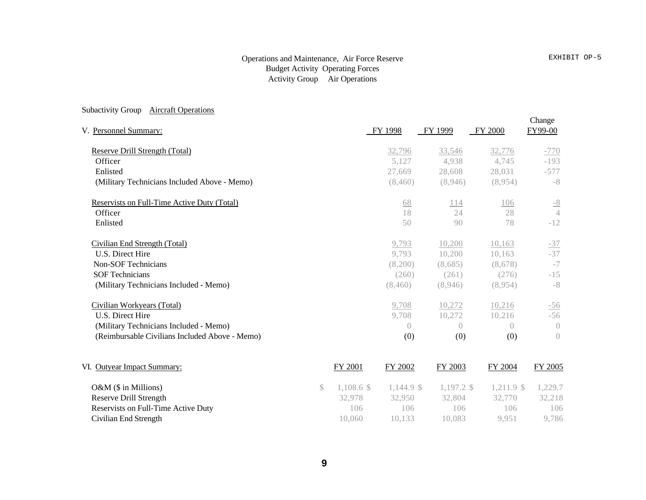## Operations and Maintenance, Air Force Reserve Budget Activity Operating Forces Activity Group Air Operations

#### Subactivity Group **Aircraft Operations**

| V. Personnel Summary:                          |         | FY 1998          | FY 1999    | <b>FY 2000</b> | Change<br>FY99-00 |
|------------------------------------------------|---------|------------------|------------|----------------|-------------------|
| Reserve Drill Strength (Total)                 |         | 32,796           | 33,546     | 32,776         | $-770$            |
| Officer                                        |         | 5,127            | 4,938      | 4,745          | $-193$            |
| Enlisted                                       |         | 27.669           | 28,608     | 28,031         | $-577$            |
| (Military Technicians Included Above - Memo)   |         | (8,460)          | (8,946)    | (8,954)        | $-8$              |
| Reservists on Full-Time Active Duty (Total)    |         | 68               | 114        | 106            | $-8$              |
| Officer                                        |         | 18               | 24         | 28             | $\overline{4}$    |
| Enlisted                                       |         | 50               | 90         | 78             | $-12$             |
| Civilian End Strength (Total)                  |         | 9,793            | 10,200     | 10,163         | $-37$             |
| U.S. Direct Hire                               |         | 9,793            | 10,200     | 10,163         | $-37$             |
| Non-SOF Technicians                            |         | (8,200)          | (8,685)    | (8,678)        | $-7$              |
| <b>SOF Technicians</b>                         |         | (260)            | (261)      | (276)          | $-15$             |
| (Military Technicians Included - Memo)         |         | (8,460)          | (8,946)    | (8,954)        | $-8$              |
| Civilian Workyears (Total)                     |         | 9,708            | 10,272     | 10,216         | $-56$             |
| U.S. Direct Hire                               |         | 9,708            | 10,272     | 10,216         | $-56$             |
| (Military Technicians Included - Memo)         |         | $\left( \right)$ | $\bigcirc$ | $\bigcirc$     | $\left( \right)$  |
| (Reimbursable Civilians Included Above - Memo) |         | (0)              | (0)        | (0)            | $\left( \right)$  |
| VI. Outyear Impact Summary:                    | FY 2001 | FY 2002          | FY 2003    | FY 2004        | FY 2005           |
|                                                |         |                  |            |                |                   |

Reservists on Full-Time Active Duty<br>
Civilian End Strength<br>
106 106 106 106 106 106<br>
10,060 10,133 10,083 9,951 9,786 Civilian End Strength 10,060

**O&M (\$ in Millions)** \$ 1,108.6 \$ 1,144.9 \$ 1,197.2 \$ 1,211.9 \$ 1,229.7<br> **Reserve Drill Strength**  $32,978$   $32,950$   $32,804$   $32,770$   $32,218$ Reserve Drill Strength 32,978 32,978 32,950 32,804 32,770 32,218<br>Reservists on Full-Time Active Duty 106 106 106 106 106 106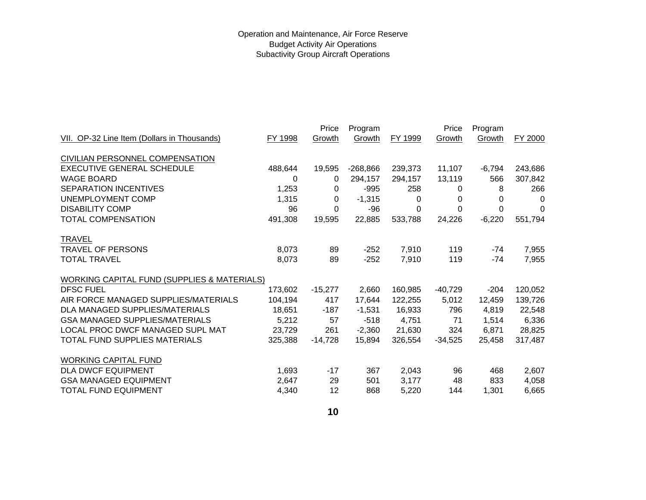|                                                        |         | Price     | Program    |         | Price     | Program  |         |
|--------------------------------------------------------|---------|-----------|------------|---------|-----------|----------|---------|
| VII. OP-32 Line Item (Dollars in Thousands)            | FY 1998 | Growth    | Growth     | FY 1999 | Growth    | Growth   | FY 2000 |
| CIVILIAN PERSONNEL COMPENSATION                        |         |           |            |         |           |          |         |
| <b>EXECUTIVE GENERAL SCHEDULE</b>                      | 488,644 | 19,595    | $-268,866$ | 239,373 | 11,107    | $-6,794$ | 243,686 |
| <b>WAGE BOARD</b>                                      | 0       | 0         | 294,157    | 294,157 | 13,119    | 566      | 307,842 |
| <b>SEPARATION INCENTIVES</b>                           | 1,253   | 0         | $-995$     | 258     | 0         | 8        | 266     |
| UNEMPLOYMENT COMP                                      | 1,315   | 0         | $-1,315$   | 0       | 0         | 0        | 0       |
| <b>DISABILITY COMP</b>                                 | 96      | 0         | -96        | 0       | 0         | 0        | 0       |
| <b>TOTAL COMPENSATION</b>                              | 491,308 | 19,595    | 22,885     | 533,788 | 24,226    | $-6,220$ | 551,794 |
| <b>TRAVEL</b>                                          |         |           |            |         |           |          |         |
| <b>TRAVEL OF PERSONS</b>                               | 8,073   | 89        | $-252$     | 7,910   | 119       | -74      | 7,955   |
| <b>TOTAL TRAVEL</b>                                    | 8,073   | 89        | $-252$     | 7,910   | 119       | -74      | 7,955   |
| <b>WORKING CAPITAL FUND (SUPPLIES &amp; MATERIALS)</b> |         |           |            |         |           |          |         |
| <b>DFSC FUEL</b>                                       | 173,602 | $-15,277$ | 2,660      | 160,985 | $-40,729$ | $-204$   | 120,052 |
| AIR FORCE MANAGED SUPPLIES/MATERIALS                   | 104,194 | 417       | 17,644     | 122,255 | 5,012     | 12,459   | 139,726 |
| DLA MANAGED SUPPLIES/MATERIALS                         | 18,651  | -187      | $-1,531$   | 16,933  | 796       | 4,819    | 22,548  |
| <b>GSA MANAGED SUPPLIES/MATERIALS</b>                  | 5,212   | 57        | $-518$     | 4,751   | 71        | 1,514    | 6,336   |
| LOCAL PROC DWCF MANAGED SUPL MAT                       | 23,729  | 261       | $-2,360$   | 21,630  | 324       | 6,871    | 28,825  |
| <b>TOTAL FUND SUPPLIES MATERIALS</b>                   | 325,388 | $-14,728$ | 15,894     | 326,554 | $-34,525$ | 25,458   | 317,487 |
| <b>WORKING CAPITAL FUND</b>                            |         |           |            |         |           |          |         |
| <b>DLA DWCF EQUIPMENT</b>                              | 1,693   | $-17$     | 367        | 2,043   | 96        | 468      | 2,607   |
| <b>GSA MANAGED EQUIPMENT</b>                           | 2,647   | 29        | 501        | 3,177   | 48        | 833      | 4,058   |
| <b>TOTAL FUND EQUIPMENT</b>                            | 4,340   | 12        | 868        | 5,220   | 144       | 1,301    | 6,665   |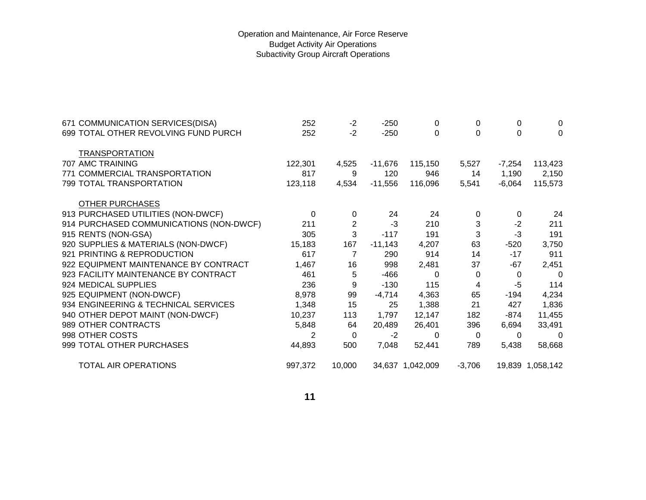## Operation and Maintenance, Air Force Reserve Budget Activity Air Operations Subactivity Group Aircraft Operations

| 671 COMMUNICATION SERVICES(DISA)<br>699 TOTAL OTHER REVOLVING FUND PURCH | 252<br>252 | $-2$<br>$-2$ | $-250$<br>$-250$ | 0<br>0           | 0<br>$\Omega$ | 0<br>0   | 0<br>$\Omega$    |
|--------------------------------------------------------------------------|------------|--------------|------------------|------------------|---------------|----------|------------------|
|                                                                          |            |              |                  |                  |               |          |                  |
| <b>TRANSPORTATION</b>                                                    |            |              |                  |                  |               |          |                  |
| 707 AMC TRAINING                                                         | 122,301    | 4,525        | $-11,676$        | 115,150          | 5,527         | $-7,254$ | 113,423          |
| 771 COMMERCIAL TRANSPORTATION                                            | 817        | 9            | 120              | 946              | 14            | 1,190    | 2,150            |
| 799 TOTAL TRANSPORTATION                                                 | 123,118    | 4,534        | $-11,556$        | 116,096          | 5,541         | $-6,064$ | 115,573          |
| <b>OTHER PURCHASES</b>                                                   |            |              |                  |                  |               |          |                  |
| 913 PURCHASED UTILITIES (NON-DWCF)                                       | $\Omega$   | 0            | 24               | 24               | $\Omega$      | 0        | 24               |
| 914 PURCHASED COMMUNICATIONS (NON-DWCF)                                  | 211        | 2            | $-3$             | 210              | 3             | $-2$     | 211              |
| 915 RENTS (NON-GSA)                                                      | 305        | 3            | $-117$           | 191              | 3             | $-3$     | 191              |
| 920 SUPPLIES & MATERIALS (NON-DWCF)                                      | 15,183     | 167          | $-11,143$        | 4,207            | 63            | $-520$   | 3,750            |
| 921 PRINTING & REPRODUCTION                                              | 617        | 7            | 290              | 914              | 14            | $-17$    | 911              |
| 922 EQUIPMENT MAINTENANCE BY CONTRACT                                    | 1,467      | 16           | 998              | 2,481            | 37            | -67      | 2,451            |
| 923 FACILITY MAINTENANCE BY CONTRACT                                     | 461        | 5            | $-466$           | 0                | 0             | 0        | $\Omega$         |
| 924 MEDICAL SUPPLIES                                                     | 236        | 9            | $-130$           | 115              | 4             | -5       | 114              |
| 925 EQUIPMENT (NON-DWCF)                                                 | 8,978      | 99           | $-4,714$         | 4,363            | 65            | -194     | 4,234            |
| 934 ENGINEERING & TECHNICAL SERVICES                                     | 1,348      | 15           | 25               | 1,388            | 21            | 427      | 1,836            |
| 940 OTHER DEPOT MAINT (NON-DWCF)                                         | 10,237     | 113          | 1,797            | 12,147           | 182           | -874     | 11,455           |
| 989 OTHER CONTRACTS                                                      | 5,848      | 64           | 20,489           | 26,401           | 396           | 6,694    | 33,491           |
| 998 OTHER COSTS                                                          | 2          | 0            | $-2$             | 0                | $\Omega$      | 0        | $\Omega$         |
| 999 TOTAL OTHER PURCHASES                                                | 44,893     | 500          | 7,048            | 52,441           | 789           | 5,438    | 58,668           |
|                                                                          |            |              |                  |                  |               |          |                  |
| <b>TOTAL AIR OPERATIONS</b>                                              | 997,372    | 10,000       |                  | 34,637 1,042,009 | $-3,706$      |          | 19,839 1,058,142 |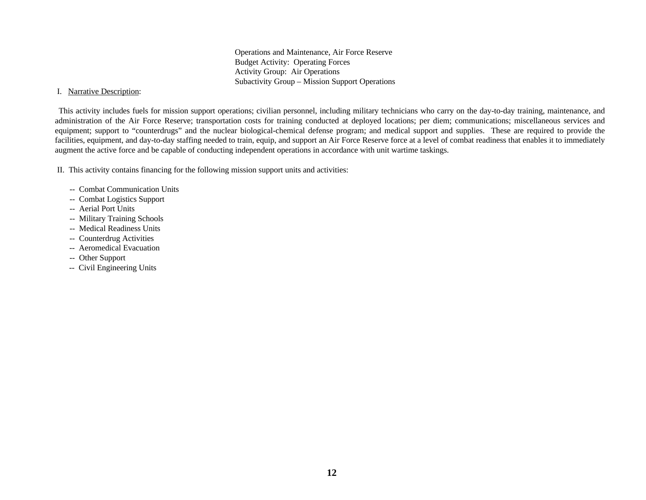Operations and Maintenance, Air Force Reserve Budget Activity: Operating Forces Activity Group: Air Operations Subactivity Group – Mission Support Operations

#### I. Narrative Description:

This activity includes fuels for mission support operations; civilian personnel, including military technicians who carry on the day-to-day training, maintenance, and administration of the Air Force Reserve; transportation costs for training conducted at deployed locations; per diem; communications; miscellaneous services and equipment; support to "counterdrugs" and the nuclear biological-chemical defense program; and medical support and supplies. These are required to provide the facilities, equipment, and day-to-day staffing needed to train, equip, and support an Air Force Reserve force at a level of combat readiness that enables it to immediately augment the active force and be capable of conducting independent operations in accordance with unit wartime taskings.

II. This activity contains financing for the following mission support units and activities:

- -- Combat Communication Units
- -- Combat Logistics Support
- -- Aerial Port Units
- -- Military Training Schools
- -- Medical Readiness Units
- -- Counterdrug Activities
- -- Aeromedical Evacuation
- -- Other Support
- -- Civil Engineering Units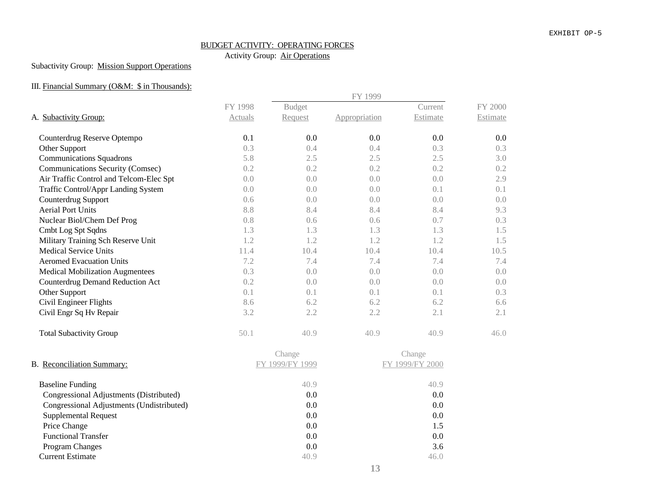# BUDGET ACTIVITY: OPERATING FORCES

Activity Group: Air Operations

## Subactivity Group: Mission Support Operations

## III. Financial Summary (O&M: \$ in Thousands):

|                                           |         |                 | FY 1999       |                 |          |  |  |  |
|-------------------------------------------|---------|-----------------|---------------|-----------------|----------|--|--|--|
|                                           | FY 1998 | <b>Budget</b>   |               | Current         | FY 2000  |  |  |  |
| A. Subactivity Group:                     | Actuals | Request         | Appropriation | Estimate        | Estimate |  |  |  |
| Counterdrug Reserve Optempo               | 0.1     | 0.0             | 0.0           | 0.0             | 0.0      |  |  |  |
| Other Support                             | 0.3     | 0.4             | 0.4           | 0.3             | 0.3      |  |  |  |
| <b>Communications Squadrons</b>           | 5.8     | 2.5             | 2.5           | 2.5             | 3.0      |  |  |  |
| Communications Security (Comsec)          | 0.2     | 0.2             | 0.2           | 0.2             | 0.2      |  |  |  |
| Air Traffic Control and Telcom-Elec Spt   | 0.0     | 0.0             | 0.0           | 0.0             | 2.9      |  |  |  |
| Traffic Control/Appr Landing System       | 0.0     | 0.0             | 0.0           | 0.1             | 0.1      |  |  |  |
| Counterdrug Support                       | 0.6     | 0.0             | 0.0           | 0.0             | 0.0      |  |  |  |
| <b>Aerial Port Units</b>                  | 8.8     | 8.4             | 8.4           | 8.4             | 9.3      |  |  |  |
| Nuclear Biol/Chem Def Prog                | 0.8     | 0.6             | 0.6           | 0.7             | 0.3      |  |  |  |
| Cmbt Log Spt Sqdns                        | 1.3     | 1.3             | 1.3           | 1.3             | 1.5      |  |  |  |
| Military Training Sch Reserve Unit        | 1.2     | 1.2             | 1.2           | 1.2             | 1.5      |  |  |  |
| <b>Medical Service Units</b>              | 11.4    | 10.4            | 10.4          | 10.4            | 10.5     |  |  |  |
| <b>Aeromed Evacuation Units</b>           | 7.2     | 7.4             | 7.4           | 7.4             | 7.4      |  |  |  |
| <b>Medical Mobilization Augmentees</b>    | 0.3     | 0.0             | 0.0           | 0.0             | 0.0      |  |  |  |
| Counterdrug Demand Reduction Act          | 0.2     | 0.0             | 0.0           | 0.0             | 0.0      |  |  |  |
| Other Support                             | 0.1     | 0.1             | 0.1           | 0.1             | 0.3      |  |  |  |
| Civil Engineer Flights                    | 8.6     | 6.2             | 6.2           | 6.2             | 6.6      |  |  |  |
| Civil Engr Sq Hv Repair                   | 3.2     | 2.2             | 2.2           | 2.1             | 2.1      |  |  |  |
| <b>Total Subactivity Group</b>            | 50.1    | 40.9            | 40.9          | 40.9            | 46.0     |  |  |  |
|                                           |         | Change          |               | Change          |          |  |  |  |
| B. Reconciliation Summary:                |         | FY 1999/FY 1999 |               | FY 1999/FY 2000 |          |  |  |  |
| <b>Baseline Funding</b>                   |         | 40.9            |               | 40.9            |          |  |  |  |
| Congressional Adjustments (Distributed)   |         | 0.0             |               | 0.0             |          |  |  |  |
| Congressional Adjustments (Undistributed) |         | 0.0             |               | 0.0             |          |  |  |  |
| <b>Supplemental Request</b>               |         | 0.0             |               | 0.0             |          |  |  |  |
| Price Change                              |         | 0.0             |               | 1.5             |          |  |  |  |
| <b>Functional Transfer</b>                |         | 0.0             |               | 0.0             |          |  |  |  |
| Program Changes                           |         | 0.0             |               | 3.6             |          |  |  |  |
| <b>Current Estimate</b>                   |         | 40.9            |               | 46.0            |          |  |  |  |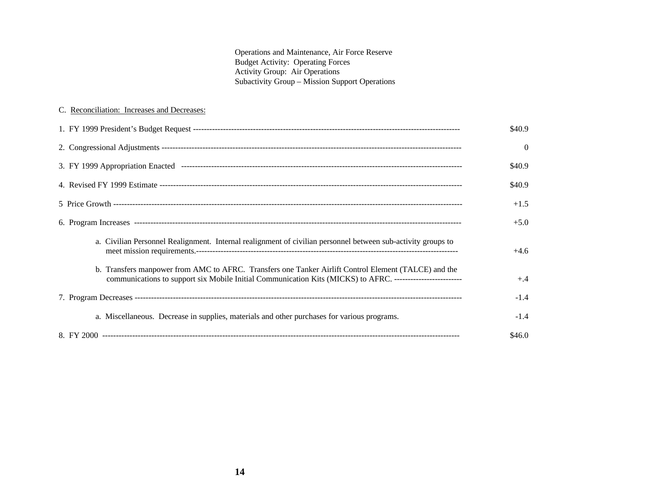Operations and Maintenance, Air Force Reserve Budget Activity: Operating Forces Activity Group: Air Operations Subactivity Group – Mission Support Operations

## C. Reconciliation: Increases and Decreases:

|                                                                                                                                                                                                                       | \$40.9   |
|-----------------------------------------------------------------------------------------------------------------------------------------------------------------------------------------------------------------------|----------|
|                                                                                                                                                                                                                       | $\Omega$ |
|                                                                                                                                                                                                                       | \$40.9   |
|                                                                                                                                                                                                                       | \$40.9   |
|                                                                                                                                                                                                                       | $+1.5$   |
|                                                                                                                                                                                                                       | $+5.0$   |
| a. Civilian Personnel Realignment. Internal realignment of civilian personnel between sub-activity groups to                                                                                                          | $+4.6$   |
| b. Transfers manpower from AMC to AFRC. Transfers one Tanker Airlift Control Element (TALCE) and the<br>communications to support six Mobile Initial Communication Kits (MICKS) to AFRC. ---------------------------- | $+.4$    |
|                                                                                                                                                                                                                       | $-1.4$   |
| a. Miscellaneous. Decrease in supplies, materials and other purchases for various programs.                                                                                                                           | $-1.4$   |
|                                                                                                                                                                                                                       | \$46.0   |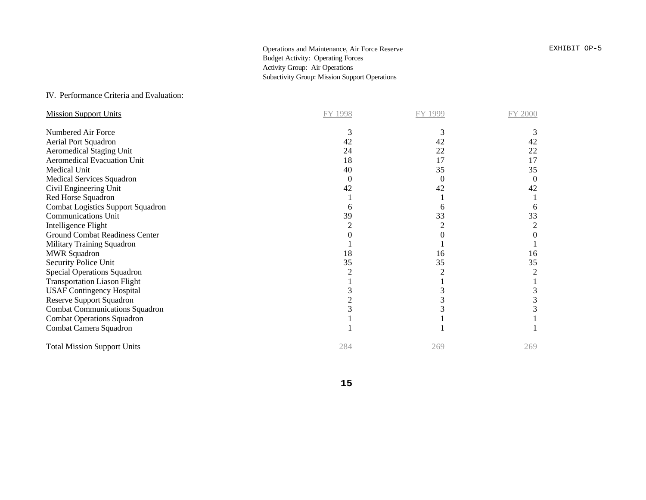Operations and Maintenance, Air Force Reserve **EXHIBIT OP-5** Budget Activity: Operating Forces Activity Group: Air Operations Subactivity Group: Mission Support Operations

## IV. Performance Criteria and Evaluation:

| <b>Mission Support Units</b>          | FY 1998 | FY 1999 | FY 2000 |
|---------------------------------------|---------|---------|---------|
| Numbered Air Force                    | 3       | 3       |         |
| Aerial Port Squadron                  | 42      | 42      | 42      |
| <b>Aeromedical Staging Unit</b>       | 24      | 22      | 22      |
| <b>Aeromedical Evacuation Unit</b>    | 18      | 17      | 17      |
| Medical Unit                          | 40      | 35      | 35      |
| Medical Services Squadron             | 0       | 0       | 0       |
| Civil Engineering Unit                | 42      | 42      | 42      |
| Red Horse Squadron                    |         |         |         |
| Combat Logistics Support Squadron     | 6       | n       |         |
| <b>Communications Unit</b>            | 39      | 33      | 33      |
| Intelligence Flight                   |         |         | 2       |
| <b>Ground Combat Readiness Center</b> |         |         |         |
| Military Training Squadron            |         |         |         |
| <b>MWR Squadron</b>                   | 18      | 16      | 16      |
| Security Police Unit                  | 35      | 35      | 35      |
| <b>Special Operations Squadron</b>    |         |         | 2       |
| <b>Transportation Liason Flight</b>   |         |         |         |
| <b>USAF Contingency Hospital</b>      |         |         |         |
| <b>Reserve Support Squadron</b>       |         |         |         |
| <b>Combat Communications Squadron</b> |         |         |         |
| <b>Combat Operations Squadron</b>     |         |         |         |
| Combat Camera Squadron                |         |         |         |
| <b>Total Mission Support Units</b>    | 284     | 269     | 269     |

**15**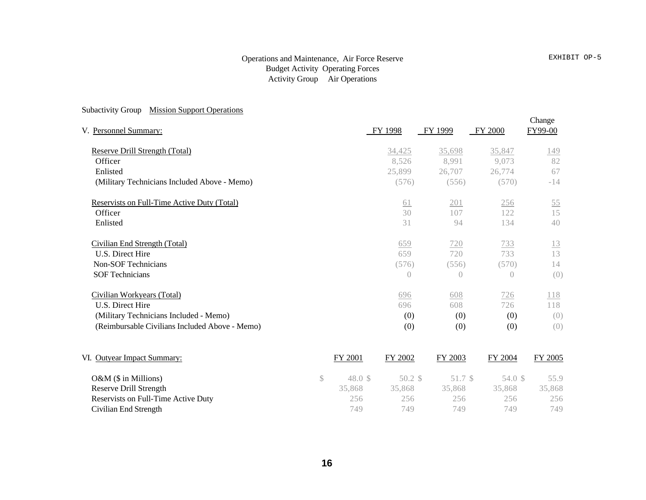## Operations and Maintenance, Air Force Reserve Budget Activity Operating Forces Activity Group Air Operations

# Subactivity Group Mission Support Operations

| V. Personnel Summary:                          | FY 1998          | FY 1999          | <b>FY 2000</b>   | Change<br>FY99-00 |
|------------------------------------------------|------------------|------------------|------------------|-------------------|
| Reserve Drill Strength (Total)                 | 34,425           | 35,698           | 35,847           | <u>149</u>        |
| Officer                                        | 8,526            | 8,991            | 9,073            | 82                |
| Enlisted                                       | 25,899           | 26,707           | 26,774           | 67                |
| (Military Technicians Included Above - Memo)   | (576)            | (556)            | (570)            | $-14$             |
| Reservists on Full-Time Active Duty (Total)    | <u>61</u>        | 201              | 256              | $\overline{55}$   |
| Officer                                        | 30               | 107              | 122              | 15                |
| Enlisted                                       | 31               | 94               | 134              | 40                |
| Civilian End Strength (Total)                  | 659              | 720              | 733              | <u>13</u>         |
| U.S. Direct Hire                               | 659              | 720              | 733              | 13                |
| <b>Non-SOF Technicians</b>                     | (576)            | (556)            | (570)            | 14                |
| <b>SOF Technicians</b>                         | $\left( \right)$ | $\left( \right)$ | $\left( \right)$ | (0)               |
| Civilian Workyears (Total)                     | 696              | 608              | 726              | 118               |
| U.S. Direct Hire                               | 696              | 608              | 726              | 118               |
| (Military Technicians Included - Memo)         | (0)              | (0)              | (0)              | (0)               |
| (Reimbursable Civilians Included Above - Memo) | (0)              | (0)              | (0)              | (0)               |

| VI. Outyear Impact Summary:         | FY 2001 | FY 2002 | FY 2003 | FY 2004 | FY 2005 |
|-------------------------------------|---------|---------|---------|---------|---------|
| $O\&M$ (\$ in Millions)             | 48.0 S  | 50.2 \$ | 51.7 \$ | 54.0 \$ | 55.9    |
| Reserve Drill Strength              | 35.868  | 35.868  | 35.868  | 35,868  | 35,868  |
| Reservists on Full-Time Active Duty | 256     | 256     | 256     | 256     | 256     |
| Civilian End Strength               | 749     | 749     | 749     | 749     | 749     |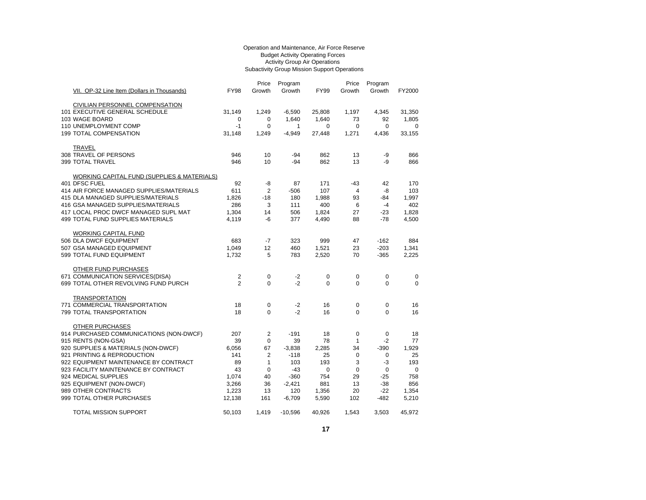#### Operation and Maintenance, Air Force Reserve Budget Activity Operating Forces Activity Group Air Operations Subactivity Group Mission Support Operations

|                                             |                | Price          | Program   |             | Price          | Program     |             |
|---------------------------------------------|----------------|----------------|-----------|-------------|----------------|-------------|-------------|
| VII. OP-32 Line Item (Dollars in Thousands) | <b>FY98</b>    | Growth         | Growth    | <b>FY99</b> | Growth         | Growth      | FY2000      |
| CIVILIAN PERSONNEL COMPENSATION             |                |                |           |             |                |             |             |
| 101 EXECUTIVE GENERAL SCHEDULE              | 31,149         | 1,249          | $-6,590$  | 25,808      | 1,197          | 4,345       | 31,350      |
| 103 WAGE BOARD                              | 0              | 0              | 1,640     | 1,640       | 73             | 92          | 1,805       |
| 110 UNEMPLOYMENT COMP                       | $-1$           | $\mathbf 0$    | 1         | $\Omega$    | $\Omega$       | $\Omega$    | $\mathbf 0$ |
| 199 TOTAL COMPENSATION                      | 31,148         | 1,249          | $-4,949$  | 27,448      | 1,271          | 4,436       | 33,155      |
| TRAVEL                                      |                |                |           |             |                |             |             |
| 308 TRAVEL OF PERSONS                       | 946            | 10             | -94       | 862         | 13             | -9          | 866         |
| 399 TOTAL TRAVEL                            | 946            | 10             | $-94$     | 862         | 13             | -9          | 866         |
| WORKING CAPITAL FUND (SUPPLIES & MATERIALS) |                |                |           |             |                |             |             |
| 401 DFSC FUEL                               | 92             | -8             | 87        | 171         | $-43$          | 42          | 170         |
| 414 AIR FORCE MANAGED SUPPLIES/MATERIALS    | 611            | $\overline{2}$ | $-506$    | 107         | $\overline{4}$ | -8          | 103         |
| 415 DLA MANAGED SUPPLIES/MATERIALS          | 1,826          | $-18$          | 180       | 1,988       | 93             | -84         | 1,997       |
| 416 GSA MANAGED SUPPLIES/MATERIALS          | 286            | 3              | 111       | 400         | 6              | $-4$        | 402         |
| 417 LOCAL PROC DWCF MANAGED SUPL MAT        | 1.304          | 14             | 506       | 1,824       | 27             | $-23$       | 1,828       |
| 499 TOTAL FUND SUPPLIES MATERIALS           | 4,119          | -6             | 377       | 4,490       | 88             | -78         | 4,500       |
| <b>WORKING CAPITAL FUND</b>                 |                |                |           |             |                |             |             |
| 506 DLA DWCF EQUIPMENT                      | 683            | $-7$           | 323       | 999         | 47             | $-162$      | 884         |
| 507 GSA MANAGED EQUIPMENT                   | 1.049          | 12             | 460       | 1,521       | 23             | $-203$      | 1,341       |
| 599 TOTAL FUND EQUIPMENT                    | 1,732          | 5              | 783       | 2,520       | 70             | $-365$      | 2,225       |
| <b>OTHER FUND PURCHASES</b>                 |                |                |           |             |                |             |             |
| 671 COMMUNICATION SERVICES(DISA)            | $\overline{2}$ | 0              | $-2$      | 0           | 0              | $\mathbf 0$ | 0           |
| 699 TOTAL OTHER REVOLVING FUND PURCH        | $\overline{2}$ | $\Omega$       | $-2$      | $\Omega$    | $\mathbf 0$    | $\mathbf 0$ | 0           |
| TRANSPORTATION                              |                |                |           |             |                |             |             |
| 771 COMMERCIAL TRANSPORTATION               | 18             | 0              | $-2$      | 16          | $\mathbf 0$    | $\mathbf 0$ | 16          |
| 799 TOTAL TRANSPORTATION                    | 18             | $\Omega$       | $-2$      | 16          | $\mathbf 0$    | 0           | 16          |
| OTHER PURCHASES                             |                |                |           |             |                |             |             |
| 914 PURCHASED COMMUNICATIONS (NON-DWCF)     | 207            | 2              | $-191$    | 18          | $\mathbf 0$    | 0           | 18          |
| 915 RENTS (NON-GSA)                         | 39             | 0              | 39        | 78          | $\mathbf{1}$   | $-2$        | 77          |
| 920 SUPPLIES & MATERIALS (NON-DWCF)         | 6,056          | 67             | $-3,838$  | 2,285       | 34             | $-390$      | 1,929       |
| 921 PRINTING & REPRODUCTION                 | 141            | $\overline{2}$ | $-118$    | 25          | 0              | 0           | 25          |
| 922 EQUIPMENT MAINTENANCE BY CONTRACT       | 89             | $\mathbf{1}$   | 103       | 193         | 3              | -3          | 193         |
| 923 FACILITY MAINTENANCE BY CONTRACT        | 43             | $\mathbf 0$    | $-43$     | $\mathbf 0$ | $\mathbf 0$    | $\Omega$    | $\mathbf 0$ |
| 924 MEDICAL SUPPLIES                        | 1,074          | 40             | $-360$    | 754         | 29             | $-25$       | 758         |
| 925 EQUIPMENT (NON-DWCF)                    | 3,266          | 36             | $-2,421$  | 881         | 13             | $-38$       | 856         |
| 989 OTHER CONTRACTS                         | 1,223          | 13             | 120       | 1,356       | 20             | $-22$       | 1,354       |
| 999 TOTAL OTHER PURCHASES                   | 12,138         | 161            | $-6,709$  | 5,590       | 102            | -482        | 5,210       |
| TOTAL MISSION SUPPORT                       | 50,103         | 1,419          | $-10,596$ | 40,926      | 1,543          | 3,503       | 45,972      |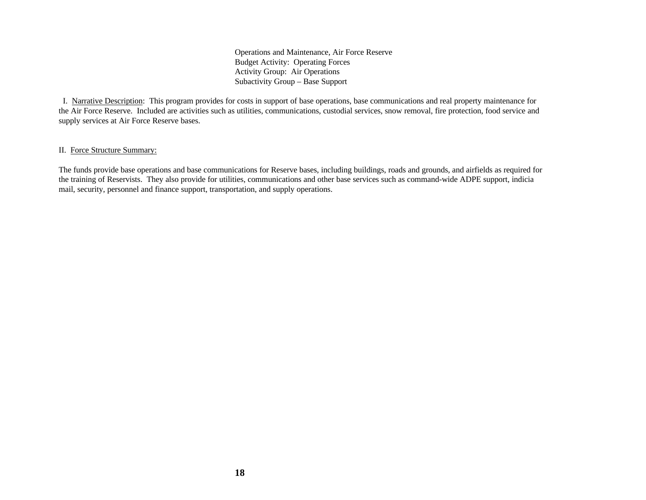Operations and Maintenance, Air Force Reserve Budget Activity: Operating Forces Activity Group: Air Operations Subactivity Group – Base Support

 I. Narrative Description: This program provides for costs in support of base operations, base communications and real property maintenance for the Air Force Reserve. Included are activities such as utilities, communications, custodial services, snow removal, fire protection, food service and supply services at Air Force Reserve bases.

#### II. Force Structure Summary:

The funds provide base operations and base communications for Reserve bases, including buildings, roads and grounds, and airfields as required for the training of Reservists. They also provide for utilities, communications and other base services such as command-wide ADPE support, indicia mail, security, personnel and finance support, transportation, and supply operations.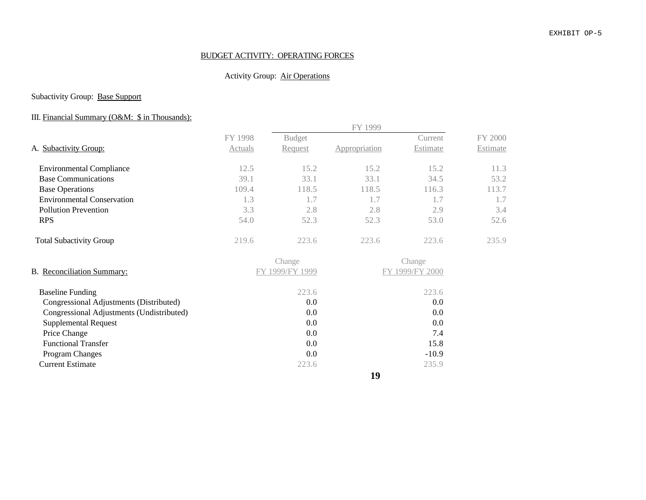#### EXHIBIT OP-5

## BUDGET ACTIVITY: OPERATING FORCES

## Activity Group: Air Operations

## Subactivity Group: Base Support

## III. Financial Summary (O&M: \$ in Thousands):

|                                           |                |                 | FY 1999       |                 |          |
|-------------------------------------------|----------------|-----------------|---------------|-----------------|----------|
|                                           | FY 1998        | <b>Budget</b>   |               | Current         | FY 2000  |
| A. Subactivity Group:                     | <b>Actuals</b> | Request         | Appropriation | Estimate        | Estimate |
| <b>Environmental Compliance</b>           | 12.5           | 15.2            | 15.2          | 15.2            | 11.3     |
| <b>Base Communications</b>                | 39.1           | 33.1            | 33.1          | 34.5            | 53.2     |
| <b>Base Operations</b>                    | 109.4          | 118.5           | 118.5         | 116.3           | 113.7    |
| <b>Environmental Conservation</b>         | 1.3            | 1.7             | 1.7           | 1.7             | 1.7      |
| <b>Pollution Prevention</b>               | 3.3            | 2.8             | 2.8           | 2.9             | 3.4      |
| <b>RPS</b>                                | 54.0           | 52.3            | 52.3          | 53.0            | 52.6     |
| <b>Total Subactivity Group</b>            | 219.6          | 223.6           | 223.6         | 223.6           | 235.9    |
|                                           |                | Change          |               | Change          |          |
| B. Reconciliation Summary:                |                | FY 1999/FY 1999 |               | FY 1999/FY 2000 |          |
| <b>Baseline Funding</b>                   |                | 223.6           |               | 223.6           |          |
| Congressional Adjustments (Distributed)   |                | 0.0             |               | 0.0             |          |
| Congressional Adjustments (Undistributed) |                | 0.0             |               | 0.0             |          |
| <b>Supplemental Request</b>               |                | $0.0\,$         |               | 0.0             |          |
| Price Change                              |                | 0.0             |               | 7.4             |          |
| <b>Functional Transfer</b>                |                | $0.0\,$         |               | 15.8            |          |
| Program Changes                           |                | 0.0             |               | $-10.9$         |          |
| <b>Current Estimate</b>                   |                | 223.6           |               | 235.9           |          |

**19**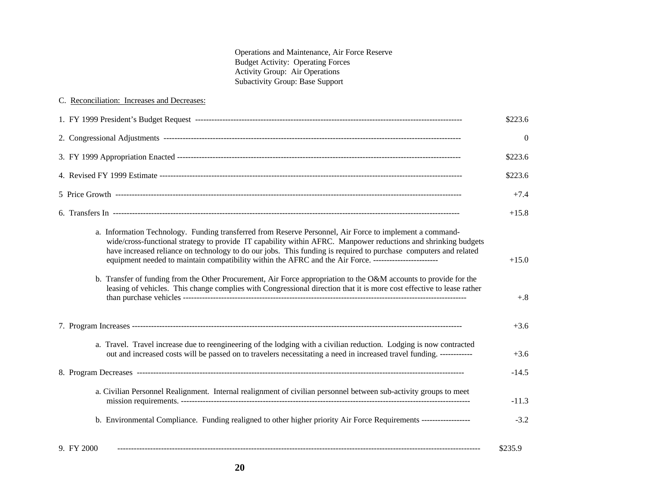Operations and Maintenance, Air Force Reserve Budget Activity: Operating Forces Activity Group: Air Operations Subactivity Group: Base Support

| C. Reconciliation: Increases and Decreases:                                                                                                                                                                                                                                                                                                                                                                                                                                                                                                                                                                                                                                                              |                  |
|----------------------------------------------------------------------------------------------------------------------------------------------------------------------------------------------------------------------------------------------------------------------------------------------------------------------------------------------------------------------------------------------------------------------------------------------------------------------------------------------------------------------------------------------------------------------------------------------------------------------------------------------------------------------------------------------------------|------------------|
|                                                                                                                                                                                                                                                                                                                                                                                                                                                                                                                                                                                                                                                                                                          | \$223.6          |
|                                                                                                                                                                                                                                                                                                                                                                                                                                                                                                                                                                                                                                                                                                          | $\theta$         |
|                                                                                                                                                                                                                                                                                                                                                                                                                                                                                                                                                                                                                                                                                                          | \$223.6          |
|                                                                                                                                                                                                                                                                                                                                                                                                                                                                                                                                                                                                                                                                                                          | \$223.6          |
|                                                                                                                                                                                                                                                                                                                                                                                                                                                                                                                                                                                                                                                                                                          | $+7.4$           |
|                                                                                                                                                                                                                                                                                                                                                                                                                                                                                                                                                                                                                                                                                                          | $+15.8$          |
| a. Information Technology. Funding transferred from Reserve Personnel, Air Force to implement a command-<br>wide/cross-functional strategy to provide IT capability within AFRC. Manpower reductions and shrinking budgets<br>have increased reliance on technology to do our jobs. This funding is required to purchase computers and related<br>equipment needed to maintain compatibility within the AFRC and the Air Force. --------------------------<br>b. Transfer of funding from the Other Procurement, Air Force appropriation to the O&M accounts to provide for the<br>leasing of vehicles. This change complies with Congressional direction that it is more cost effective to lease rather | $+15.0$<br>$+.8$ |
|                                                                                                                                                                                                                                                                                                                                                                                                                                                                                                                                                                                                                                                                                                          | $+3.6$           |
| a. Travel. Travel increase due to reengineering of the lodging with a civilian reduction. Lodging is now contracted<br>out and increased costs will be passed on to travelers necessitating a need in increased travel funding. ------------                                                                                                                                                                                                                                                                                                                                                                                                                                                             | $+3.6$           |
|                                                                                                                                                                                                                                                                                                                                                                                                                                                                                                                                                                                                                                                                                                          | $-14.5$          |
| a. Civilian Personnel Realignment. Internal realignment of civilian personnel between sub-activity groups to meet                                                                                                                                                                                                                                                                                                                                                                                                                                                                                                                                                                                        | $-11.3$          |
| b. Environmental Compliance. Funding realigned to other higher priority Air Force Requirements -----------------                                                                                                                                                                                                                                                                                                                                                                                                                                                                                                                                                                                         | $-3.2$           |
| 9. FY 2000                                                                                                                                                                                                                                                                                                                                                                                                                                                                                                                                                                                                                                                                                               | \$235.9          |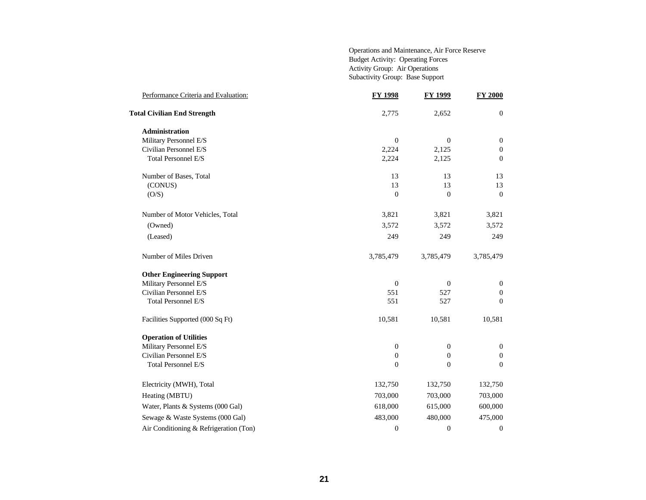Operations and Maintenance, Air Force Reserve Budget Activity: Operating Forces Activity Group: Air Operations Subactivity Group: Base Support

| Performance Criteria and Evaluation:   | <b>FY 1998</b>   | <b>FY 1999</b>   | <b>FY 2000</b>   |
|----------------------------------------|------------------|------------------|------------------|
| <b>Total Civilian End Strength</b>     | 2,775            | 2,652            | $\mathbf{0}$     |
| <b>Administration</b>                  |                  |                  |                  |
| Military Personnel E/S                 | $\mathbf{0}$     | $\boldsymbol{0}$ | $\boldsymbol{0}$ |
| Civilian Personnel E/S                 | 2,224            | 2,125            | $\boldsymbol{0}$ |
| Total Personnel E/S                    | 2,224            | 2,125            | $\boldsymbol{0}$ |
| Number of Bases, Total                 | 13               | 13               | 13               |
| (CONUS)                                | 13               | 13               | 13               |
| (O/S)                                  | $\overline{0}$   | $\overline{0}$   | $\Omega$         |
| Number of Motor Vehicles, Total        | 3,821            | 3,821            | 3,821            |
| (Owned)                                | 3,572            | 3,572            | 3,572            |
| (Leased)                               | 249              | 249              | 249              |
| Number of Miles Driven                 | 3,785,479        | 3,785,479        | 3,785,479        |
| <b>Other Engineering Support</b>       |                  |                  |                  |
| Military Personnel E/S                 | $\mathbf{0}$     | $\boldsymbol{0}$ | $\mathbf{0}$     |
| Civilian Personnel E/S                 | 551              | 527              | $\mathbf{0}$     |
| Total Personnel E/S                    | 551              | 527              | $\overline{0}$   |
| Facilities Supported (000 Sq Ft)       | 10,581           | 10,581           | 10,581           |
| <b>Operation of Utilities</b>          |                  |                  |                  |
| Military Personnel E/S                 | $\boldsymbol{0}$ | $\boldsymbol{0}$ | $\boldsymbol{0}$ |
| Civilian Personnel E/S                 | $\boldsymbol{0}$ | $\boldsymbol{0}$ | $\boldsymbol{0}$ |
| Total Personnel E/S                    | $\boldsymbol{0}$ | $\overline{0}$   | $\overline{0}$   |
| Electricity (MWH), Total               | 132,750          | 132,750          | 132,750          |
| Heating (MBTU)                         | 703,000          | 703,000          | 703,000          |
| Water, Plants & Systems (000 Gal)      | 618,000          | 615,000          | 600,000          |
| Sewage & Waste Systems (000 Gal)       | 483,000          | 480,000          | 475,000          |
| Air Conditioning & Refrigeration (Ton) | $\boldsymbol{0}$ | $\boldsymbol{0}$ | $\mathbf{0}$     |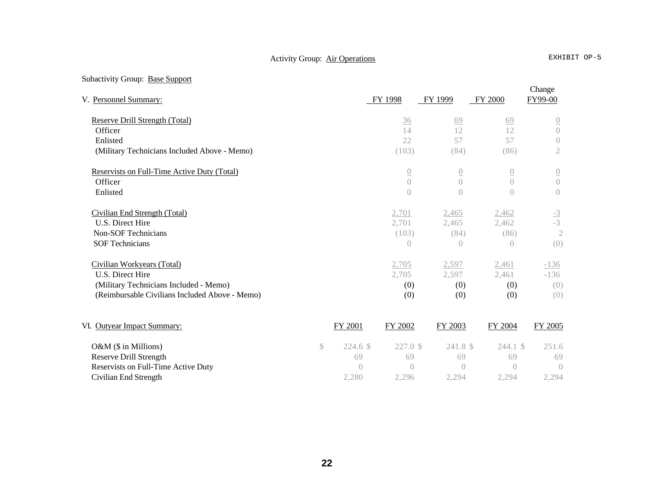# Activity Group: Air Operations EXHIBIT OP-5

# Subactivity Group: Base Support

| V. Personnel Summary:                          | FY 1998                        | FY 1999          | <b>FY 2000</b>   | FY99-00         |
|------------------------------------------------|--------------------------------|------------------|------------------|-----------------|
| Reserve Drill Strength (Total)                 | 36                             | 69               | 69               | $\overline{0}$  |
| Officer                                        | 14                             | 12               | 12               | $\bigcap$       |
| Enlisted                                       | 22                             | 57               | 57               | $\bigcirc$      |
| (Military Technicians Included Above - Memo)   | (103)                          | (84)             | (86)             | $\mathfrak{2}$  |
| Reservists on Full-Time Active Duty (Total)    | $\overline{0}$                 | $\overline{0}$   | $\overline{0}$   | $\overline{0}$  |
| Officer                                        | $\overline{0}$                 | $\left( \right)$ | $\bigcirc$       | $\overline{0}$  |
| Enlisted                                       | $\overline{0}$                 | $\overline{0}$   | $\left( \right)$ | $\bigcap$       |
| Civilian End Strength (Total)                  | 2,701                          | 2,465            | 2,462            |                 |
| U.S. Direct Hire                               | 2,701                          | 2,465            | 2,462            | $\frac{-3}{-3}$ |
| <b>Non-SOF Technicians</b>                     | (103)                          | (84)             | (86)             | $\overline{2}$  |
| <b>SOF Technicians</b>                         | $\theta$                       | $\overline{0}$   | $\overline{0}$   | (0)             |
| Civilian Workyears (Total)                     | 2,705                          | 2,597            | 2,461            | $-136$          |
| U.S. Direct Hire                               | 2,705                          | 2,597            | 2,461            | $-136$          |
| (Military Technicians Included - Memo)         | (0)                            | (0)              | (0)              | (0)             |
| (Reimbursable Civilians Included Above - Memo) | (0)                            | (0)              | (0)              | (0)             |
| VI. Outyear Impact Summary:<br>FY 2001         | FY 2002                        | FY 2003          | <b>FY 2004</b>   | FY 2005         |
| O&M (\$ in Millions)<br>\$                     | 227.0 \$<br>224.6 <sup>°</sup> | 241.8 \$         | $244.1$ \$       | 251.6           |
| <b>Reserve Drill Strength</b>                  | 69<br>69                       | 69               | 69               | 69              |
| Reservists on Full-Time Active Duty            | $\bigcap$<br>$\bigcap$         | $\bigcap$        | $\bigcirc$       | $\bigcap$       |
| Civilian End Strength<br>2,280                 | 2,296                          | 2,294            | 2,294            | 2,294           |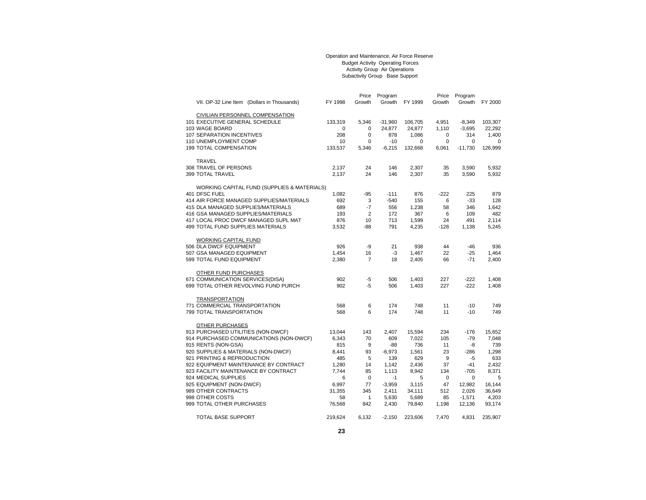#### Operation and Maintenance, Air Force Reserve Budget Activity Operating Forces Activity Group Air Operations Subactivity Group Base Support

|                                             |         | Price          | Program   |         | Price       | Program     |         |
|---------------------------------------------|---------|----------------|-----------|---------|-------------|-------------|---------|
| VII. OP-32 Line Item (Dollars in Thousands) | FY 1998 | Growth         | Growth    | FY 1999 | Growth      | Growth      | FY 2000 |
|                                             |         |                |           |         |             |             |         |
| CIVILIAN PERSONNEL COMPENSATION             |         |                |           |         |             |             |         |
| 101 EXECUTIVE GENERAL SCHEDULE              | 133,319 | 5,346          | $-31,960$ | 106,705 | 4,951       | $-8,349$    | 103,307 |
| 103 WAGE BOARD                              | 0       | 0              | 24,877    | 24,877  | 1,110       | $-3,695$    | 22,292  |
| 107 SEPARATION INCENTIVES                   | 208     | $\mathbf 0$    | 878       | 1,086   | 0           | 314         | 1,400   |
| 110 UNEMPLOYMENT COMP                       | 10      | $\mathbf 0$    | $-10$     | 0       | $\mathbf 0$ | $\mathbf 0$ | 0       |
| <b>199 TOTAL COMPENSATION</b>               | 133,537 | 5,346          | $-6,215$  | 132,668 | 6,061       | $-11,730$   | 126,999 |
|                                             |         |                |           |         |             |             |         |
| <b>TRAVEL</b>                               |         |                |           |         |             |             |         |
| 308 TRAVEL OF PERSONS                       | 2,137   | 24             | 146       | 2,307   | 35          | 3,590       | 5,932   |
| 399 TOTAL TRAVEL                            | 2.137   | 24             | 146       | 2,307   | 35          | 3,590       | 5,932   |
|                                             |         |                |           |         |             |             |         |
| WORKING CAPITAL FUND (SUPPLIES & MATERIALS) |         |                |           |         |             |             |         |
| 401 DFSC FUEL                               | 1,082   | $-95$          | $-111$    | 876     | $-222$      | 225         | 879     |
| 414 AIR FORCE MANAGED SUPPLIES/MATERIALS    | 692     | 3              | $-540$    | 155     | 6           | $-33$       | 128     |
| 415 DLA MANAGED SUPPLIES/MATERIALS          | 689     | $-7$           | 556       | 1,238   | 58          | 346         | 1,642   |
| 416 GSA MANAGED SUPPLIES/MATERIALS          | 193     | $\overline{2}$ | 172       | 367     | 6           | 109         | 482     |
| 417 LOCAL PROC DWCF MANAGED SUPL MAT        | 876     | 10             | 713       | 1,599   | 24          | 491         | 2.114   |
| 499 TOTAL FUND SUPPLIES MATERIALS           | 3,532   | $-88$          | 791       | 4,235   | $-128$      | 1,138       | 5,245   |
|                                             |         |                |           |         |             |             |         |
| WORKING CAPITAL FUND                        |         |                |           |         |             |             |         |
| 506 DLA DWCF EQUIPMENT                      | 926     | -9             | 21        | 938     | 44          | $-46$       | 936     |
| 507 GSA MANAGED EQUIPMENT                   | 1,454   | 16             | -3        | 1,467   | 22          | $-25$       | 1,464   |
| 599 TOTAL FUND EQUIPMENT                    | 2,380   | $\overline{7}$ | 18        | 2,405   | 66          | $-71$       | 2,400   |
|                                             |         |                |           |         |             |             |         |
| OTHER FUND PURCHASES                        |         |                |           |         |             |             |         |
| 671 COMMUNICATION SERVICES(DISA)            | 902     | $-5$           | 506       | 1,403   | 227         | $-222$      | 1,408   |
| 699 TOTAL OTHER REVOLVING FUND PURCH        | 902     | $-5$           | 506       | 1,403   | 227         | $-222$      | 1,408   |
|                                             |         |                |           |         |             |             |         |
| <b>TRANSPORTATION</b>                       |         |                |           |         |             |             |         |
| 771 COMMERCIAL TRANSPORTATION               | 568     | 6              | 174       | 748     | 11          | $-10$       | 749     |
| 799 TOTAL TRANSPORTATION                    | 568     | 6              | 174       | 748     | 11          | $-10$       | 749     |
|                                             |         |                |           |         |             |             |         |
| OTHER PURCHASES                             |         |                |           |         |             |             |         |
| 913 PURCHASED UTILITIES (NON-DWCF)          | 13,044  | 143            | 2,407     | 15,594  | 234         | $-176$      | 15,652  |
| 914 PURCHASED COMMUNICATIONS (NON-DWCF)     | 6,343   | 70             | 609       | 7,022   | 105         | $-79$       | 7,048   |
| 915 RENTS (NON-GSA)                         | 815     | 9              | -88       | 736     | 11          | -8          | 739     |
| 920 SUPPLIES & MATERIALS (NON-DWCF)         | 8,441   | 93             | $-6,973$  | 1,561   | 23          | -286        | 1,298   |
| 921 PRINTING & REPRODUCTION                 | 485     | 5              | 139       | 629     | 9           | $-5$        | 633     |
| 922 EQUIPMENT MAINTENANCE BY CONTRACT       | 1,280   | 14             | 1,142     | 2,436   | 37          | $-41$       | 2,432   |
| 923 FACILITY MAINTENANCE BY CONTRACT        | 7.744   | 85             | 1,113     | 8,942   | 134         | $-705$      | 8,371   |
| 924 MEDICAL SUPPLIES                        | 6       | 0              | -1        | 5       | 0           | $\mathbf 0$ | 5       |
| 925 EQUIPMENT (NON-DWCF)                    | 6,997   | 77             | $-3,959$  | 3,115   | 47          | 12,982      | 16,144  |
| 989 OTHER CONTRACTS                         | 31,355  | 345            | 2,411     | 34,111  | 512         | 2,026       | 36,649  |
| 998 OTHER COSTS                             | 58      | $\mathbf{1}$   | 5,630     | 5,689   | 85          | $-1,571$    | 4,203   |
| 999 TOTAL OTHER PURCHASES                   | 76,568  | 842            | 2,430     | 79,840  | 1,198       | 12,136      | 93,174  |
|                                             |         |                |           |         |             |             |         |
| <b>TOTAL BASE SUPPORT</b>                   | 219,624 | 6.132          | $-2,150$  | 223,606 | 7.470       | 4,831       | 235,907 |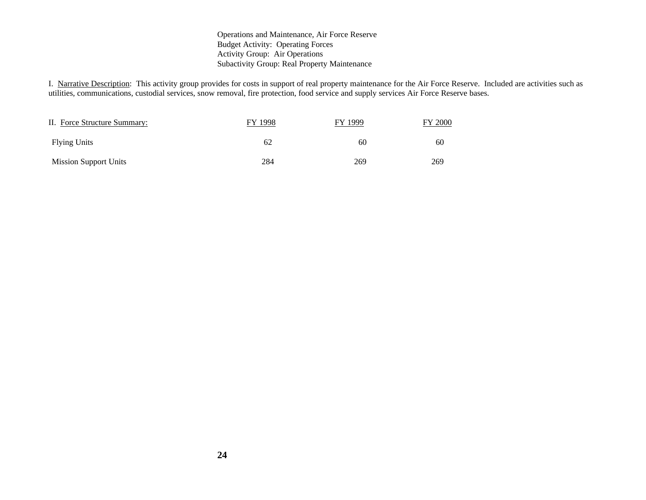#### Operations and Maintenance, Air Force Reserve Budget Activity: Operating Forces Activity Group: Air Operations Subactivity Group: Real Property Maintenance

I. Narrative Description: This activity group provides for costs in support of real property maintenance for the Air Force Reserve. Included are activities such as utilities, communications, custodial services, snow removal, fire protection, food service and supply services Air Force Reserve bases.

| II. Force Structure Summary: | 1998<br>FV | FY 1999 | 2000 |
|------------------------------|------------|---------|------|
| <b>Flying Units</b>          | 62         | 60      | 60   |
| <b>Mission Support Units</b> | 284        | 269     | 269  |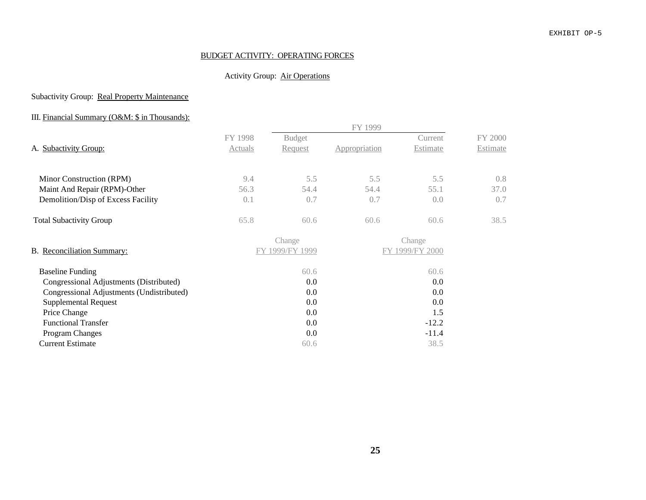#### EXHIBIT OP-5

## BUDGET ACTIVITY: OPERATING FORCES

## Activity Group: Air Operations

## Subactivity Group: Real Property Maintenance

## III. Financial Summary (O&M: \$ in Thousands):

|                                           |         |                 | FY 1999       |                 |          |
|-------------------------------------------|---------|-----------------|---------------|-----------------|----------|
|                                           | FY 1998 | <b>Budget</b>   |               | Current         | FY 2000  |
| A. Subactivity Group:                     | Actuals | <u>Request</u>  | Appropriation | <b>Estimate</b> | Estimate |
| Minor Construction (RPM)                  | 9.4     | 5.5             | 5.5           | 5.5             | 0.8      |
| Maint And Repair (RPM)-Other              | 56.3    | 54.4            | 54.4          | 55.1            | 37.0     |
| Demolition/Disp of Excess Facility        | 0.1     | 0.7             | 0.7           | 0.0             | 0.7      |
| <b>Total Subactivity Group</b>            | 65.8    | 60.6            | 60.6          | 60.6            | 38.5     |
|                                           |         | Change          |               | Change          |          |
| B. Reconciliation Summary:                |         | FY 1999/FY 1999 |               | FY 1999/FY 2000 |          |
| <b>Baseline Funding</b>                   |         | 60.6            |               | 60.6            |          |
| Congressional Adjustments (Distributed)   |         | 0.0             |               | 0.0             |          |
| Congressional Adjustments (Undistributed) |         | 0.0             |               | 0.0             |          |
| <b>Supplemental Request</b>               |         | 0.0             |               | 0.0             |          |
| Price Change                              |         | 0.0             |               | 1.5             |          |
| <b>Functional Transfer</b>                |         | $0.0\,$         |               | $-12.2$         |          |
| <b>Program Changes</b>                    |         | 0.0             |               | $-11.4$         |          |
| <b>Current Estimate</b>                   |         | 60.6            |               | 38.5            |          |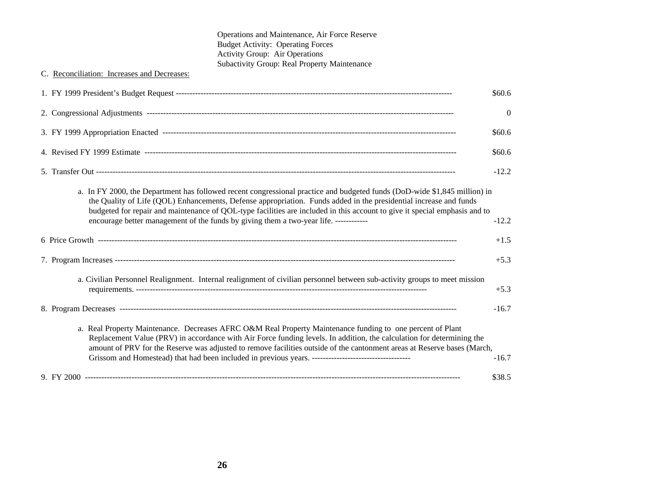| Operations and Maintenance, Air Force Reserve                                                                                                                                                                                                                                                                                                                                                                                                                         |                |
|-----------------------------------------------------------------------------------------------------------------------------------------------------------------------------------------------------------------------------------------------------------------------------------------------------------------------------------------------------------------------------------------------------------------------------------------------------------------------|----------------|
| <b>Budget Activity: Operating Forces</b><br>Activity Group: Air Operations                                                                                                                                                                                                                                                                                                                                                                                            |                |
| Subactivity Group: Real Property Maintenance                                                                                                                                                                                                                                                                                                                                                                                                                          |                |
| C. Reconciliation: Increases and Decreases:                                                                                                                                                                                                                                                                                                                                                                                                                           |                |
|                                                                                                                                                                                                                                                                                                                                                                                                                                                                       | \$60.6         |
|                                                                                                                                                                                                                                                                                                                                                                                                                                                                       | $\overline{0}$ |
|                                                                                                                                                                                                                                                                                                                                                                                                                                                                       | \$60.6         |
|                                                                                                                                                                                                                                                                                                                                                                                                                                                                       | \$60.6         |
|                                                                                                                                                                                                                                                                                                                                                                                                                                                                       | $-12.2$        |
| a. In FY 2000, the Department has followed recent congressional practice and budgeted funds (DoD-wide \$1,845 million) in<br>the Quality of Life (QOL) Enhancements, Defense appropriation. Funds added in the presidential increase and funds<br>budgeted for repair and maintenance of QOL-type facilities are included in this account to give it special emphasis and to<br>encourage better management of the funds by giving them a two-year life. ------------ | $-12.2$        |
|                                                                                                                                                                                                                                                                                                                                                                                                                                                                       | $+1.5$         |
|                                                                                                                                                                                                                                                                                                                                                                                                                                                                       | $+5.3$         |
| a. Civilian Personnel Realignment. Internal realignment of civilian personnel between sub-activity groups to meet mission                                                                                                                                                                                                                                                                                                                                             | $+5.3$         |
|                                                                                                                                                                                                                                                                                                                                                                                                                                                                       | $-16.7$        |
| a. Real Property Maintenance. Decreases AFRC O&M Real Property Maintenance funding to one percent of Plant<br>Replacement Value (PRV) in accordance with Air Force funding levels. In addition, the calculation for determining the<br>amount of PRV for the Reserve was adjusted to remove facilities outside of the cantonment areas at Reserve bases (March,                                                                                                       | $-16.7$        |
|                                                                                                                                                                                                                                                                                                                                                                                                                                                                       | \$38.5         |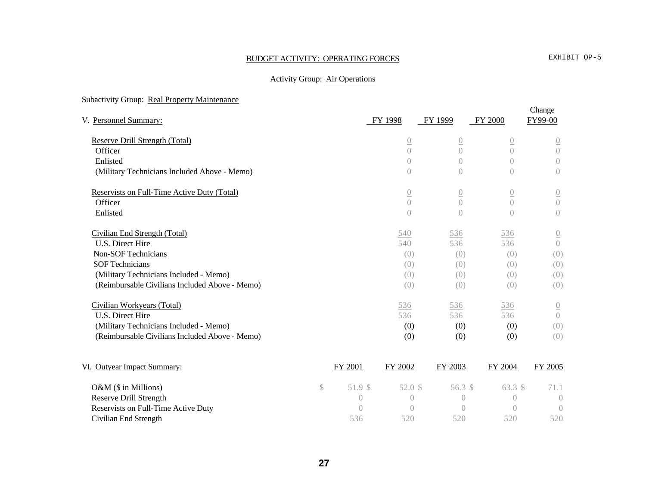# BUDGET ACTIVITY: OPERATING FORCES EXHIBIT OP-5

## Activity Group: Air Operations

## Subactivity Group: Real Property Maintenance

| V. Personnel Summary:                          |              |                  | FY 1998        | FY 1999          | FY 2000          | Change<br>FY99-00 |
|------------------------------------------------|--------------|------------------|----------------|------------------|------------------|-------------------|
| Reserve Drill Strength (Total)                 |              |                  | $\overline{0}$ | $\overline{0}$   | $\overline{0}$   | $\underline{0}$   |
| Officer                                        |              |                  | $\bigcap$      | $\bigcap$        | $\bigcap$        | $\overline{0}$    |
| Enlisted                                       |              |                  | $\bigcap$      | $\bigcap$        | $\bigcap$        | $\bigcirc$        |
| (Military Technicians Included Above - Memo)   |              |                  | $\overline{0}$ | $\overline{0}$   | $\left( \right)$ | $\Large{0}$       |
| Reservists on Full-Time Active Duty (Total)    |              |                  | $\overline{0}$ | $\overline{0}$   | $\overline{0}$   | $\underline{0}$   |
| Officer                                        |              |                  | $\overline{0}$ | $\overline{0}$   | $\bigcap$        | $\overline{0}$    |
| Enlisted                                       |              |                  | $\overline{0}$ | $\left( \right)$ | $\bigcap$        | $\overline{0}$    |
| Civilian End Strength (Total)                  |              |                  | 540            | 536              | 536              | $\underline{0}$   |
| U.S. Direct Hire                               |              |                  | 540            | 536              | 536              | $\overline{0}$    |
| <b>Non-SOF Technicians</b>                     |              |                  | (0)            | (0)              | (0)              | (0)               |
| <b>SOF Technicians</b>                         |              |                  | (0)            | (0)              | (0)              | (0)               |
| (Military Technicians Included - Memo)         |              |                  | (0)            | (0)              | (0)              | (0)               |
| (Reimbursable Civilians Included Above - Memo) |              |                  | (0)            | (0)              | (0)              | (0)               |
| Civilian Workyears (Total)                     |              |                  | 536            | 536              | 536              | $\underline{0}$   |
| U.S. Direct Hire                               |              |                  | 536            | 536              | 536              | $\bigcirc$        |
| (Military Technicians Included - Memo)         |              |                  | (0)            | (0)              | (0)              | (0)               |
| (Reimbursable Civilians Included Above - Memo) |              |                  | (0)            | (0)              | (0)              | (0)               |
| VI. Outyear Impact Summary:                    |              | FY 2001          | FY 2002        | FY 2003          | FY 2004          | FY 2005           |
| O&M (\$ in Millions)                           | $\mathbb{S}$ | 51.9 \$          | 52.0 \$        | 56.3 \$          | 63.3 \$          | 71.1              |
| <b>Reserve Drill Strength</b>                  |              | $\left( \right)$ | $\bigcirc$     | $\left( \right)$ | $\bigcirc$       | $\bigcirc$        |
| Reservists on Full-Time Active Duty            |              | $\bigcap$        | $\bigcap$      | $\bigcap$        | $\bigcap$        | $\left( \right)$  |
| Civilian End Strength                          |              | 536              | 520            | 520              | 520              | 520               |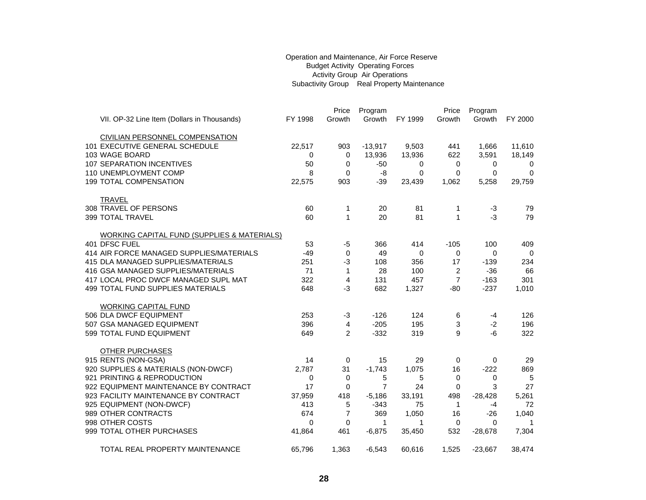#### Operation and Maintenance, Air Force Reserve Budget Activity Operating Forces Activity Group Air Operations Subactivity Group Real Property Maintenance

|                                                        |         | Price          | Program        |          | Price          | Program   |             |
|--------------------------------------------------------|---------|----------------|----------------|----------|----------------|-----------|-------------|
| VII. OP-32 Line Item (Dollars in Thousands)            | FY 1998 | Growth         | Growth         | FY 1999  | Growth         | Growth    | FY 2000     |
|                                                        |         |                |                |          |                |           |             |
| <b>CIVILIAN PERSONNEL COMPENSATION</b>                 |         |                |                |          |                |           |             |
| 101 EXECUTIVE GENERAL SCHEDULE                         | 22,517  | 903            | $-13,917$      | 9,503    | 441            | 1,666     | 11,610      |
| 103 WAGE BOARD                                         | 0       | 0              | 13,936         | 13,936   | 622            | 3,591     | 18,149      |
| 107 SEPARATION INCENTIVES                              | 50      | 0              | $-50$          | 0        | 0              | 0         | 0           |
| 110 UNEMPLOYMENT COMP                                  | 8       | 0              | -8             | $\Omega$ | $\Omega$       | 0         | $\Omega$    |
| <b>199 TOTAL COMPENSATION</b>                          | 22,575  | 903            | $-39$          | 23,439   | 1,062          | 5,258     | 29,759      |
|                                                        |         |                |                |          |                |           |             |
| <b>TRAVEL</b>                                          |         |                |                |          |                |           |             |
| 308 TRAVEL OF PERSONS                                  | 60      | 1              | 20             | 81       | 1              | $-3$      | 79          |
| 399 TOTAL TRAVEL                                       | 60      | 1              | 20             | 81       | $\mathbf{1}$   | $-3$      | 79          |
|                                                        |         |                |                |          |                |           |             |
| <b>WORKING CAPITAL FUND (SUPPLIES &amp; MATERIALS)</b> |         |                |                |          |                |           |             |
| 401 DFSC FUEL                                          | 53      | -5             | 366            | 414      | $-105$         | 100       | 409         |
| 414 AIR FORCE MANAGED SUPPLIES/MATERIALS               | $-49$   | 0              | 49             | 0        | 0              | $\Omega$  | $\Omega$    |
| 415 DLA MANAGED SUPPLIES/MATERIALS                     | 251     | $-3$           | 108            | 356      | 17             | $-139$    | 234         |
| 416 GSA MANAGED SUPPLIES/MATERIALS                     | 71      | 1              | 28             | 100      | 2              | $-36$     | 66          |
| 417 LOCAL PROC DWCF MANAGED SUPL MAT                   | 322     | 4              | 131            | 457      | $\overline{7}$ | $-163$    | 301         |
| 499 TOTAL FUND SUPPLIES MATERIALS                      | 648     | $-3$           | 682            | 1,327    | $-80$          | $-237$    | 1,010       |
| <b>WORKING CAPITAL FUND</b>                            |         |                |                |          |                |           |             |
| 506 DLA DWCF EQUIPMENT                                 | 253     | $-3$           | $-126$         | 124      | 6              | $-4$      | 126         |
| 507 GSA MANAGED EQUIPMENT                              | 396     | 4              | $-205$         | 195      | 3              | $-2$      | 196         |
| 599 TOTAL FUND EQUIPMENT                               | 649     | $\overline{2}$ | $-332$         | 319      | 9              | -6        | 322         |
|                                                        |         |                |                |          |                |           |             |
| <b>OTHER PURCHASES</b>                                 |         |                |                |          |                |           |             |
| 915 RENTS (NON-GSA)                                    | 14      | 0              | 15             | 29       | 0              | 0         | 29          |
| 920 SUPPLIES & MATERIALS (NON-DWCF)                    | 2,787   | 31             | $-1,743$       | 1,075    | 16             | $-222$    | 869         |
| 921 PRINTING & REPRODUCTION                            | 0       | 0              | 5              | 5        | 0              | 0         | 5           |
| 922 EQUIPMENT MAINTENANCE BY CONTRACT                  | 17      | 0              | $\overline{7}$ | 24       | 0              | 3         | 27          |
| 923 FACILITY MAINTENANCE BY CONTRACT                   | 37,959  | 418            | $-5,186$       | 33,191   | 498            | $-28,428$ | 5,261       |
| 925 EQUIPMENT (NON-DWCF)                               | 413     | 5              | $-343$         | 75       | $\overline{1}$ | $-4$      | 72          |
| 989 OTHER CONTRACTS                                    | 674     | $\overline{7}$ | 369            | 1,050    | 16             | $-26$     | 1,040       |
| 998 OTHER COSTS                                        | 0       | 0              | 1              | 1        | 0              | $\Omega$  | $\mathbf 1$ |
| 999 TOTAL OTHER PURCHASES                              | 41,864  | 461            | $-6,875$       | 35,450   | 532            | $-28,678$ | 7,304       |
|                                                        |         |                |                |          |                |           |             |
| TOTAL REAL PROPERTY MAINTENANCE                        | 65,796  | 1,363          | $-6,543$       | 60,616   | 1,525          | $-23,667$ | 38,474      |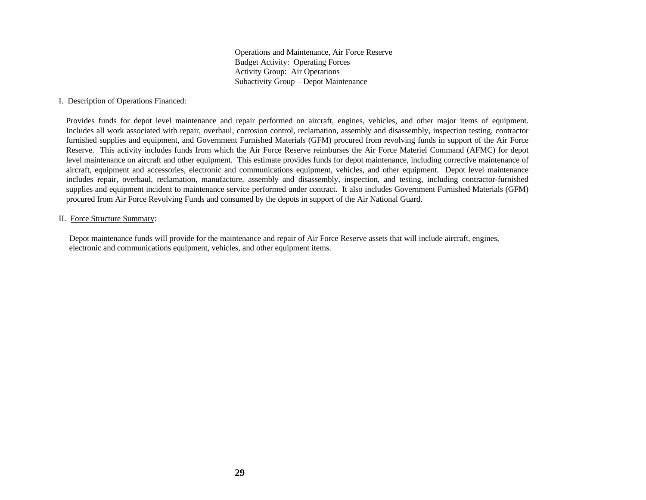Operations and Maintenance, Air Force Reserve Budget Activity: Operating Forces Activity Group: Air Operations Subactivity Group – Depot Maintenance

#### I. Description of Operations Financed:

Provides funds for depot level maintenance and repair performed on aircraft, engines, vehicles, and other major items of equipment. Includes all work associated with repair, overhaul, corrosion control, reclamation, assembly and disassembly, inspection testing, contractor furnished supplies and equipment, and Government Furnished Materials (GFM) procured from revolving funds in support of the Air Force Reserve. This activity includes funds from which the Air Force Reserve reimburses the Air Force Materiel Command (AFMC) for depot level maintenance on aircraft and other equipment. This estimate provides funds for depot maintenance, including corrective maintenance of aircraft, equipment and accessories, electronic and communications equipment, vehicles, and other equipment. Depot level maintenance includes repair, overhaul, reclamation, manufacture, assembly and disassembly, inspection, and testing, including contractor-furnished supplies and equipment incident to maintenance service performed under contract. It also includes Government Furnished Materials (GFM) procured from Air Force Revolving Funds and consumed by the depots in support of the Air National Guard.

#### II. Force Structure Summary:

 Depot maintenance funds will provide for the maintenance and repair of Air Force Reserve assets that will include aircraft, engines, electronic and communications equipment, vehicles, and other equipment items.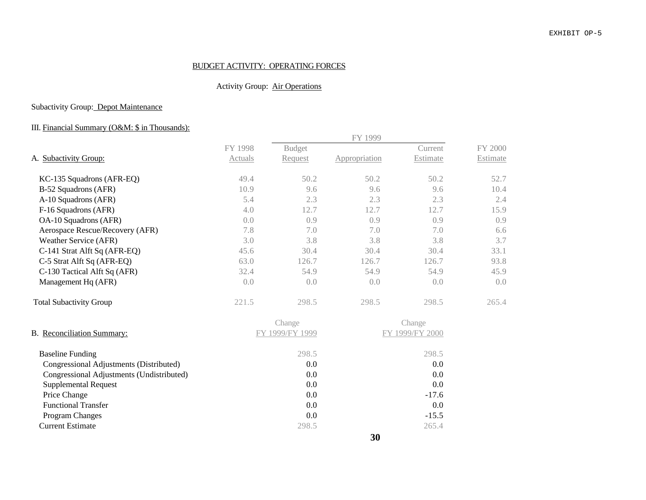## BUDGET ACTIVITY: OPERATING FORCES

# Activity Group: Air Operations

## Subactivity Group: Depot Maintenance

# III. Financial Summary (O&M: \$ in Thousands):

|                                           |         |                 | FY 1999       |                 |          |
|-------------------------------------------|---------|-----------------|---------------|-----------------|----------|
|                                           | FY 1998 | <b>Budget</b>   |               | Current         | FY 2000  |
| A. Subactivity Group:                     | Actuals | Request         | Appropriation | Estimate        | Estimate |
| KC-135 Squadrons (AFR-EQ)                 | 49.4    | 50.2            | 50.2          | 50.2            | 52.7     |
| B-52 Squadrons (AFR)                      | 10.9    | 9.6             | 9.6           | 9.6             | 10.4     |
| A-10 Squadrons (AFR)                      | 5.4     | 2.3             | 2.3           | 2.3             | 2.4      |
| F-16 Squadrons (AFR)                      | 4.0     | 12.7            | 12.7          | 12.7            | 15.9     |
| OA-10 Squadrons (AFR)                     | 0.0     | 0.9             | 0.9           | 0.9             | 0.9      |
| Aerospace Rescue/Recovery (AFR)           | 7.8     | 7.0             | 7.0           | 7.0             | 6.6      |
| Weather Service (AFR)                     | 3.0     | 3.8             | 3.8           | 3.8             | 3.7      |
| C-141 Strat Alft Sq (AFR-EQ)              | 45.6    | 30.4            | 30.4          | 30.4            | 33.1     |
| C-5 Strat Alft Sq (AFR-EQ)                | 63.0    | 126.7           | 126.7         | 126.7           | 93.8     |
| C-130 Tactical Alft Sq (AFR)              | 32.4    | 54.9            | 54.9          | 54.9            | 45.9     |
| Management Hq (AFR)                       | 0.0     | 0.0             | 0.0           | 0.0             | 0.0      |
| <b>Total Subactivity Group</b>            | 221.5   | 298.5           | 298.5         | 298.5           | 265.4    |
|                                           |         | Change          |               | Change          |          |
| B. Reconciliation Summary:                |         | FY 1999/FY 1999 |               | FY 1999/FY 2000 |          |
| <b>Baseline Funding</b>                   |         | 298.5           |               | 298.5           |          |
| Congressional Adjustments (Distributed)   |         | 0.0             |               | 0.0             |          |
| Congressional Adjustments (Undistributed) |         | 0.0             |               | 0.0             |          |
| <b>Supplemental Request</b>               |         | 0.0             |               | 0.0             |          |
| Price Change                              |         | 0.0             |               | $-17.6$         |          |
| <b>Functional Transfer</b>                |         | 0.0             |               | 0.0             |          |
| Program Changes                           |         | 0.0             |               | $-15.5$         |          |
| <b>Current Estimate</b>                   |         | 298.5           |               | 265.4           |          |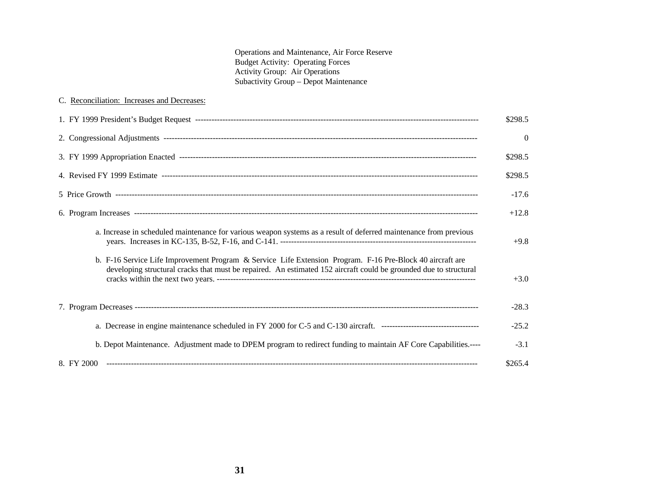Operations and Maintenance, Air Force Reserve Budget Activity: Operating Forces Activity Group: Air Operations Subactivity Group – Depot Maintenance

| C. Reconciliation: Increases and Decreases:                                                                                                                                                                                    |          |
|--------------------------------------------------------------------------------------------------------------------------------------------------------------------------------------------------------------------------------|----------|
|                                                                                                                                                                                                                                | \$298.5  |
|                                                                                                                                                                                                                                | $\Omega$ |
|                                                                                                                                                                                                                                | \$298.5  |
|                                                                                                                                                                                                                                | \$298.5  |
|                                                                                                                                                                                                                                | $-17.6$  |
|                                                                                                                                                                                                                                | $+12.8$  |
| a. Increase in scheduled maintenance for various weapon systems as a result of deferred maintenance from previous                                                                                                              | $+9.8$   |
| b. F-16 Service Life Improvement Program & Service Life Extension Program. F-16 Pre-Block 40 aircraft are<br>developing structural cracks that must be repaired. An estimated 152 aircraft could be grounded due to structural | $+3.0$   |
|                                                                                                                                                                                                                                | $-28.3$  |
|                                                                                                                                                                                                                                | $-25.2$  |
| b. Depot Maintenance. Adjustment made to DPEM program to redirect funding to maintain AF Core Capabilities.----                                                                                                                | $-3.1$   |
|                                                                                                                                                                                                                                | \$265.4  |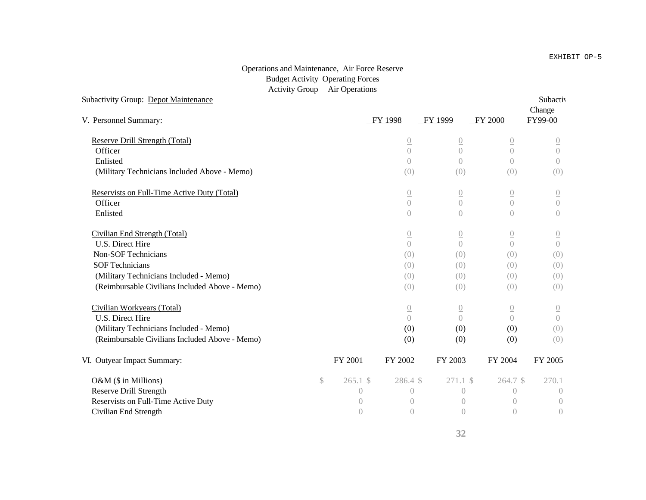#### Operations and Maintenance, Air Force Reserve Budget Activity Operating Forces Activity Group Air Operations

|              |            |                  |                                                               |                                                          | Subactiv<br>Change                                                     |
|--------------|------------|------------------|---------------------------------------------------------------|----------------------------------------------------------|------------------------------------------------------------------------|
|              |            |                  |                                                               |                                                          | FY99-00                                                                |
|              |            |                  |                                                               |                                                          | $\overline{0}$                                                         |
|              |            | $\overline{0}$   | $\overline{0}$                                                | $\overline{0}$                                           | $\sqrt{a}$                                                             |
|              |            | $\left( \right)$ | $\bigcirc$                                                    | $\overline{O}$                                           | $\left( \right)$                                                       |
|              |            | (0)              | (0)                                                           | (0)                                                      | (0)                                                                    |
|              |            |                  |                                                               |                                                          | $\underline{0}$                                                        |
|              |            | $\left( \right)$ | $\left( \right)$                                              | $\overline{O}$                                           | $\sqrt{a}$                                                             |
|              |            | $\left( \right)$ | $\bigcirc$                                                    | $\bigcirc$                                               | $\left( \right)$                                                       |
|              |            | $\underline{0}$  | $\underline{()}$                                              | $\underline{0}$                                          | $\underline{0}$                                                        |
|              |            | $\bigcap$        | $\overline{0}$                                                | $\overline{0}$                                           | $\bigcap$                                                              |
|              |            | (0)              | (0)                                                           | (0)                                                      | (0)                                                                    |
|              |            | (0)              | (0)                                                           | (0)                                                      | (0)                                                                    |
|              |            | (0)              | (0)                                                           | (0)                                                      | (0)                                                                    |
|              |            | (0)              | (0)                                                           | (0)                                                      | (0)                                                                    |
|              |            |                  | $\underline{0}$                                               | $\underline{0}$                                          | $\underline{0}$                                                        |
|              |            | $\bigcap$        | $\overline{0}$                                                | $\overline{0}$                                           | $\overline{0}$                                                         |
|              |            | (0)              | (0)                                                           | (0)                                                      | (0)                                                                    |
|              |            | (0)              | (0)                                                           | (0)                                                      | (0)                                                                    |
|              |            | FY 2002          | FY 2003                                                       | FY 2004                                                  | FY 2005                                                                |
| $\mathbb{S}$ | $265.1$ \$ |                  |                                                               |                                                          | 270.1                                                                  |
|              | $\bigcirc$ | $\overline{0}$   | $\left( \right)$                                              | $\bigcirc$                                               | $\left( \right)$                                                       |
|              | $\bigcirc$ | $\overline{0}$   | $\left( \right)$                                              | $\left( \right)$                                         | $\overline{0}$                                                         |
|              | $\bigcirc$ | $\bigcirc$       | $\overline{0}$                                                | $\bigcirc$                                               | $\left( \right)$                                                       |
|              |            | <b>FY 2001</b>   | FY 1998<br>$\overline{0}$<br>$\overline{0}$<br>$\overline{0}$ | FY 1999<br>$\underline{0}$<br>$\underline{0}$<br>286.4\$ | FY 2000<br>$\underline{0}$<br>$\underline{0}$<br>$271.1$ \$<br>264.7\$ |

# **32**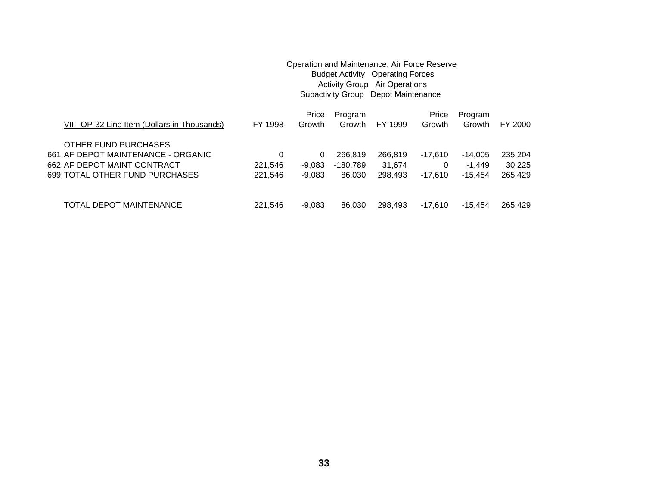# Operation and Maintenance, Air Force Reserve Budget Activity Operating Forces Activity Group Air Operations Subactivity Group Depot Maintenance Price Program **Price Program**

| VII. OP-32 Line Item (Dollars in Thousands) | FY 1998 | Growth   | Growth   | FY 1999 | Growth    | Growth    | FY 2000 |
|---------------------------------------------|---------|----------|----------|---------|-----------|-----------|---------|
| OTHER FUND PURCHASES                        |         |          |          |         |           |           |         |
| 661 AF DEPOT MAINTENANCE - ORGANIC          | 0       | 0        | 266,819  | 266.819 | $-17.610$ | $-14.005$ | 235.204 |
| 662 AF DEPOT MAINT CONTRACT                 | 221.546 | -9.083   | -180.789 | 31.674  |           | -1.449    | 30.225  |
| 699 TOTAL OTHER FUND PURCHASES              | 221.546 | $-9.083$ | 86.030   | 298.493 | $-17.610$ | -15.454   | 265.429 |
|                                             |         |          |          |         |           |           |         |
| TOTAL DEPOT MAINTENANCE                     | 221.546 | -9.083   | 86.030   | 298.493 | -17.610   | -15.454   | 265.429 |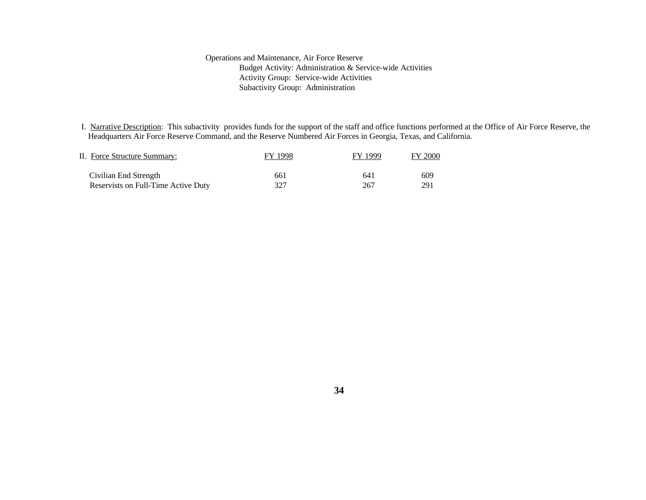#### Operations and Maintenance, Air Force Reserve Budget Activity: Administration & Service-wide Activities Activity Group: Service-wide Activities Subactivity Group: Administration

 I. Narrative Description: This subactivity provides funds for the support of the staff and office functions performed at the Office of Air Force Reserve, the Headquarters Air Force Reserve Command, and the Reserve Numbered Air Forces in Georgia, Texas, and California.

| II. Force Structure Summary:        | FY 1998 | FY 1999 | <b>FY 2000</b> |
|-------------------------------------|---------|---------|----------------|
| Civilian End Strength               | 661     | 641     | 609            |
| Reservists on Full-Time Active Duty | 327     | 267     | 291            |

**34**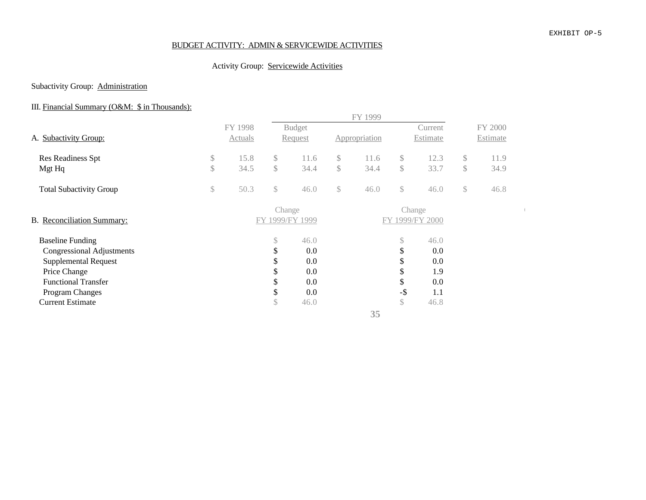## BUDGET ACTIVITY: ADMIN & SERVICEWIDE ACTIVITIES

## Activity Group: Servicewide Activities

## Subactivity Group: **Administration**

# III. Financial Summary (O&M: \$ in Thousands):

|                                |               |         |               |                 |              | FY 1999       |              |                 |              |          |  |
|--------------------------------|---------------|---------|---------------|-----------------|--------------|---------------|--------------|-----------------|--------------|----------|--|
|                                |               | FY 1998 |               | <b>Budget</b>   |              |               |              | Current         |              | FY 2000  |  |
| A. Subactivity Group:          |               | Actuals |               | Request         |              | Appropriation |              | Estimate        |              | Estimate |  |
| Res Readiness Spt              | $\$\,$        | 15.8    | $\mathbb{S}$  | 11.6            | \$           | 11.6          | \$           | 12.3            | \$           | 11.9     |  |
| Mgt Hq                         | $\mathcal{S}$ | 34.5    | $\mathcal{S}$ | 34.4            | $\mathbb{S}$ | 34.4          | $\mathbb{S}$ | 33.7            | $\mathbb{S}$ | 34.9     |  |
| <b>Total Subactivity Group</b> | $\mathbb{S}$  | 50.3    | \$            | 46.0            | \$           | 46.0          | \$           | 46.0            | $\mathbb{S}$ | 46.8     |  |
|                                |               |         | Change        |                 |              |               | Change       |                 |              |          |  |
| B. Reconciliation Summary:     |               |         |               | FY 1999/FY 1999 |              |               |              | FY 1999/FY 2000 |              |          |  |
| <b>Baseline Funding</b>        |               |         | \$            | 46.0            |              |               | S.           | 46.0            |              |          |  |
| Congressional Adjustments      |               |         | \$            | 0.0             |              |               | \$           | 0.0             |              |          |  |
| <b>Supplemental Request</b>    |               |         |               | 0.0             |              |               |              | 0.0             |              |          |  |
| Price Change                   |               |         | \$            | 0.0             |              |               |              | 1.9             |              |          |  |
| <b>Functional Transfer</b>     |               |         | D             | 0.0             |              |               | \$           | 0.0             |              |          |  |
| Program Changes                |               |         | \$            | 0.0             |              |               | $-$ \$       | 1.1             |              |          |  |
| <b>Current Estimate</b>        |               |         | \$            | 46.0            |              |               | $\mathbb{S}$ | 46.8            |              |          |  |
|                                |               |         |               |                 |              | 35            |              |                 |              |          |  |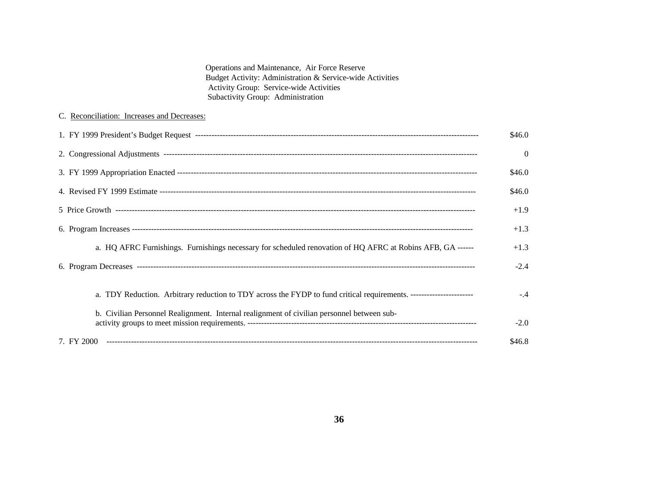Operations and Maintenance, Air Force Reserve Budget Activity: Administration & Service-wide Activities Activity Group: Service-wide Activities Subactivity Group: Administration

## C. Reconciliation: Increases and Decreases:

|                                                                                                            | \$46.0   |
|------------------------------------------------------------------------------------------------------------|----------|
|                                                                                                            | $\Omega$ |
|                                                                                                            | \$46.0   |
|                                                                                                            | \$46.0   |
|                                                                                                            | $+1.9$   |
|                                                                                                            | $+1.3$   |
| a. HQ AFRC Furnishings. Furnishings necessary for scheduled renovation of HQ AFRC at Robins AFB, GA ------ | $+1.3$   |
|                                                                                                            | $-2.4$   |
|                                                                                                            |          |
|                                                                                                            | $-.4$    |
| b. Civilian Personnel Realignment. Internal realignment of civilian personnel between sub-                 | $-2.0$   |
|                                                                                                            | \$46.8   |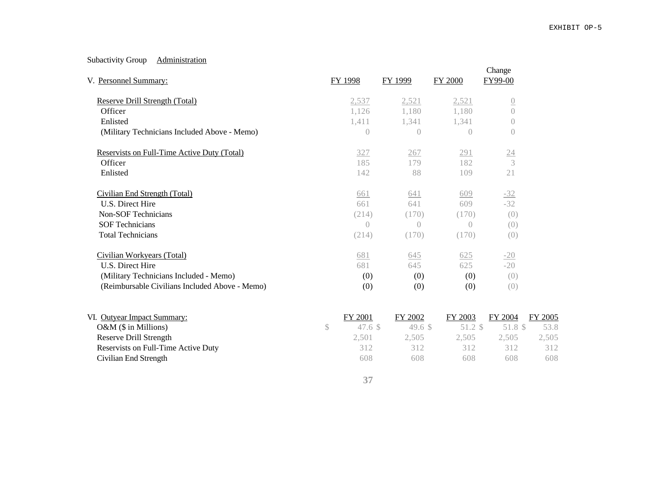## Subactivity Group **Administration**

| V. Personnel Summary:                          | <b>FY 1998</b> | <b>FY 1999</b>    | <b>FY 2000</b> | Change<br>FY99-00 |                |
|------------------------------------------------|----------------|-------------------|----------------|-------------------|----------------|
| Reserve Drill Strength (Total)                 | 2,537          | 2,521             | 2,521          | $\overline{0}$    |                |
| Officer                                        | 1,126          | 1,180             | 1,180          | $\overline{0}$    |                |
| Enlisted                                       | 1,411          | 1,341             | 1,341          | $\left( \right)$  |                |
| (Military Technicians Included Above - Memo)   | $\bigcirc$     | $\left( \right)$  | $\bigcirc$     | $\overline{0}$    |                |
| Reservists on Full-Time Active Duty (Total)    | 327            | 267               | 291            | $\underline{24}$  |                |
| Officer                                        | 185            | 179               | 182            | 3                 |                |
| Enlisted                                       | 142            | 88                | 109            | 21                |                |
| Civilian End Strength (Total)                  | 661            | 641               | 609            | $-32$             |                |
| U.S. Direct Hire                               | 661            | 641               | 609            | $-32$             |                |
| <b>Non-SOF Technicians</b>                     | (214)          | (170)             | (170)          | (0)               |                |
| <b>SOF Technicians</b>                         | $\bigcap$      | $\left( \right)$  | $\bigcap$      | (0)               |                |
| <b>Total Technicians</b>                       | (214)          | (170)             | (170)          | (0)               |                |
| Civilian Workyears (Total)                     | 681            | 645               | 625            | $-20$             |                |
| U.S. Direct Hire                               | 681            | 645               | 625            | $-20$             |                |
| (Military Technicians Included - Memo)         | (0)            | (0)               | (0)            | (0)               |                |
| (Reimbursable Civilians Included Above - Memo) | (0)            | (0)               | (0)            | (0)               |                |
| VI. Outyear Impact Summary:                    | FY 2001        | FY 2002           | FY 2003        | FY 2004           | <b>FY 2005</b> |
| $O&M$ (\$ in Millions)                         | \$<br>47.6~\$  | 49.6 <sup>°</sup> | 51.2 \$        | 51.8 \$           | 53.8           |
| <b>Reserve Drill Strength</b>                  | 2,501          | 2,505             | 2,505          | 2,505             | 2,505          |

Reservists on Full-Time Active Duty 12 and 2012 312 312 312 312 312 312 Civilian End Strength 608 608 608 608 608 608 608 608 608

**37**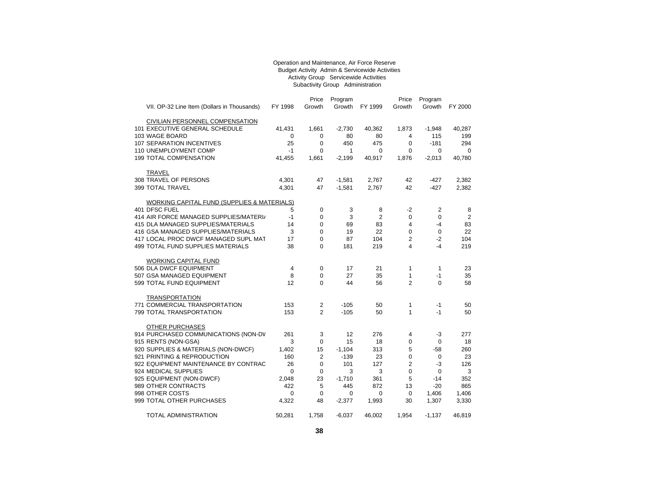#### Operation and Maintenance, Air Force Reserve Budget Activity Admin & Servicewide Activities Activity Group Servicewide Activities Subactivity Group Administration

| VII. OP-32 Line Item (Dollars in Thousands) | FY 1998     | Price<br>Growth | Program<br>Growth | FY 1999        | Price<br>Growth | Program<br>Growth | FY 2000        |
|---------------------------------------------|-------------|-----------------|-------------------|----------------|-----------------|-------------------|----------------|
|                                             |             |                 |                   |                |                 |                   |                |
| <b>CIVILIAN PERSONNEL COMPENSATION</b>      |             |                 |                   |                |                 |                   |                |
| 101 EXECUTIVE GENERAL SCHEDULE              | 41,431      | 1,661           | $-2,730$          | 40,362         | 1,873           | $-1,948$          | 40,287         |
| 103 WAGE BOARD                              | 0           | 0               | 80                | 80             | 4               | 115               | 199            |
| <b>107 SEPARATION INCENTIVES</b>            | 25          | $\mathbf 0$     | 450               | 475            | $\Omega$        | $-181$            | 294            |
| 110 UNEMPLOYMENT COMP                       | $-1$        | $\mathbf 0$     | 1                 | 0              | $\mathbf 0$     | 0                 | $\mathbf 0$    |
| 199 TOTAL COMPENSATION                      | 41,455      | 1,661           | $-2,199$          | 40,917         | 1,876           | $-2,013$          | 40,780         |
| <b>TRAVEL</b>                               |             |                 |                   |                |                 |                   |                |
| 308 TRAVEL OF PERSONS                       | 4,301       | 47              | $-1,581$          | 2,767          | 42              | -427              | 2,382          |
| 399 TOTAL TRAVEL                            | 4,301       | 47              | $-1,581$          | 2,767          | 42              | $-427$            | 2,382          |
| WORKING CAPITAL FUND (SUPPLIES & MATERIALS) |             |                 |                   |                |                 |                   |                |
| 401 DFSC FUEL                               | 5           | 0               | 3                 | 8              | -2              | 2                 | 8              |
| 414 AIR FORCE MANAGED SUPPLIES/MATERI/      | $-1$        | 0               | 3                 | $\overline{2}$ | 0               | 0                 | $\overline{2}$ |
| 415 DLA MANAGED SUPPLIES/MATERIALS          | 14          | 0               | 69                | 83             | 4               | -4                | 83             |
| 416 GSA MANAGED SUPPLIES/MATERIALS          | 3           | 0               | 19                | 22             | 0               | 0                 | 22             |
| 417 LOCAL PROC DWCF MANAGED SUPL MAT        | 17          | 0               | 87                | 104            | 2               | $-2$              | 104            |
| 499 TOTAL FUND SUPPLIES MATERIALS           | 38          | $\Omega$        | 181               | 219            | $\overline{4}$  | $-4$              | 219            |
| <b>WORKING CAPITAL FUND</b>                 |             |                 |                   |                |                 |                   |                |
| 506 DLA DWCF EQUIPMENT                      | 4           | 0               | 17                | 21             | 1               | $\mathbf{1}$      | 23             |
| 507 GSA MANAGED EQUIPMENT                   | 8           | 0               | 27                | 35             | 1               | $-1$              | 35             |
| 599 TOTAL FUND EQUIPMENT                    | 12          | 0               | 44                | 56             | $\overline{2}$  | 0                 | 58             |
| <b>TRANSPORTATION</b>                       |             |                 |                   |                |                 |                   |                |
| 771 COMMERCIAL TRANSPORTATION               | 153         | $\mathbf{2}$    | $-105$            | 50             | 1               | $-1$              | 50             |
| 799 TOTAL TRANSPORTATION                    | 153         | 2               | $-105$            | 50             | $\mathbf{1}$    | $-1$              | 50             |
| <b>OTHER PURCHASES</b>                      |             |                 |                   |                |                 |                   |                |
| 914 PURCHASED COMMUNICATIONS (NON-DV        | 261         | 3               | 12                | 276            | 4               | -3                | 277            |
| 915 RENTS (NON-GSA)                         | 3           | 0               | 15                | 18             | 0               | 0                 | 18             |
| 920 SUPPLIES & MATERIALS (NON-DWCF)         | 1,402       | 15              | $-1,104$          | 313            | 5               | $-58$             | 260            |
| 921 PRINTING & REPRODUCTION                 | 160         | $\overline{2}$  | $-139$            | 23             | 0               | 0                 | 23             |
| 922 EQUIPMENT MAINTENANCE BY CONTRAC        | 26          | 0               | 101               | 127            | 2               | $-3$              | 126            |
| 924 MEDICAL SUPPLIES                        | $\mathbf 0$ | 0               | 3                 | 3              | $\mathbf 0$     | 0                 | 3              |
| 925 EQUIPMENT (NON-DWCF)                    | 2,048       | 23              | $-1,710$          | 361            | 5               | -14               | 352            |
| 989 OTHER CONTRACTS                         | 422         | 5               | 445               | 872            | 13              | $-20$             | 865            |
| 998 OTHER COSTS                             | 0           | $\mathbf 0$     | $\mathbf 0$       | 0              | $\mathbf 0$     | 1,406             | 1,406          |
| 999 TOTAL OTHER PURCHASES                   | 4,322       | 48              | $-2,377$          | 1,993          | 30              | 1,307             | 3,330          |
| <b>TOTAL ADMINISTRATION</b>                 | 50.281      | 1,758           | $-6.037$          | 46,002         | 1.954           | $-1,137$          | 46.819         |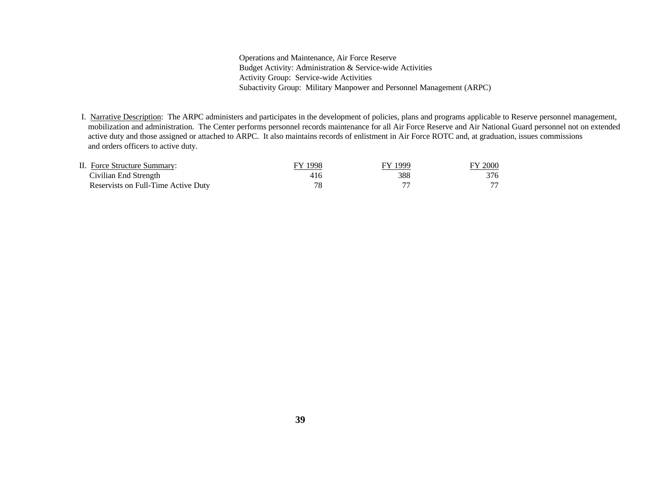Operations and Maintenance, Air Force Reserve Budget Activity: Administration & Service-wide Activities Activity Group: Service-wide Activities Subactivity Group: Military Manpower and Personnel Management (ARPC)

 I. Narrative Description: The ARPC administers and participates in the development of policies, plans and programs applicable to Reserve personnel management, mobilization and administration. The Center performs personnel records maintenance for all Air Force Reserve and Air National Guard personnel not on extended active duty and those assigned or attached to ARPC. It also maintains records of enlistment in Air Force ROTC and, at graduation, issues commissions and orders officers to active duty.

| II. Force Structure Summary:        | 1998 | FY 1999 | FY 2000 |
|-------------------------------------|------|---------|---------|
| Civilian End Strength               | 416  | 388     | 376     |
| Reservists on Full-Time Active Duty |      |         |         |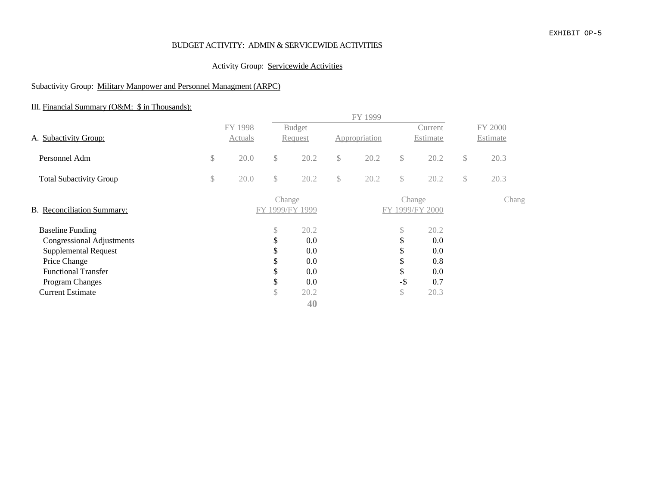## BUDGET ACTIVITY: ADMIN & SERVICEWIDE ACTIVITIES

## Activity Group: Servicewide Activities

## Subactivity Group: Military Manpower and Personnel Managment (ARPC)

# III. Financial Summary (O&M: \$ in Thousands):

|                                                                                                                                                                                                                                                |              |                    |                                                  |                                                 |              | FY 1999       |                                                |                                                         |    |                     |  |
|------------------------------------------------------------------------------------------------------------------------------------------------------------------------------------------------------------------------------------------------|--------------|--------------------|--------------------------------------------------|-------------------------------------------------|--------------|---------------|------------------------------------------------|---------------------------------------------------------|----|---------------------|--|
| A. Subactivity Group:<br>Personnel Adm<br><b>Total Subactivity Group</b><br><b>Baseline Funding</b><br><b>Congressional Adjustments</b><br><b>Supplemental Request</b><br>Price Change<br><b>Functional Transfer</b><br><b>Program Changes</b> |              | FY 1998<br>Actuals |                                                  | <b>Budget</b><br>Request                        |              | Appropriation |                                                | Current<br>Estimate                                     |    | FY 2000<br>Estimate |  |
|                                                                                                                                                                                                                                                | $\mathbb{S}$ | 20.0               | $\mathbb{S}$                                     | 20.2                                            | $\mathbb{S}$ | 20.2          | $\mathbb{S}$                                   | 20.2                                                    | \$ | 20.3                |  |
|                                                                                                                                                                                                                                                | \$           | 20.0               | \$                                               | 20.2                                            | $\mathbb{S}$ | 20.2          | \$                                             | 20.2                                                    | \$ | 20.3                |  |
| B. Reconciliation Summary:                                                                                                                                                                                                                     |              |                    | Change                                           | FY 1999/FY 1999                                 |              |               | Change                                         | FY 1999/FY 2000                                         |    | Chang               |  |
| <b>Current Estimate</b>                                                                                                                                                                                                                        |              |                    | \$<br>\$<br>\$<br>\$<br>\$<br>\$<br>$\mathbb{S}$ | 20.2<br>0.0<br>0.0<br>0.0<br>0.0<br>0.0<br>20.2 |              |               | \$<br>\$<br>\$<br>¢<br>D<br>\$<br>$-$ \$<br>\$ | 20.2<br>$0.0\,$<br>$0.0\,$<br>0.8<br>0.0<br>0.7<br>20.3 |    |                     |  |
|                                                                                                                                                                                                                                                |              |                    |                                                  | 40                                              |              |               |                                                |                                                         |    |                     |  |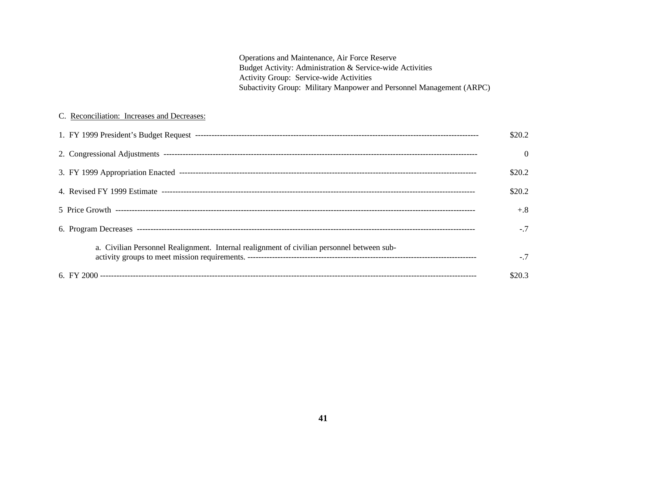Operations and Maintenance, Air Force Reserve Budget Activity: Administration & Service-wide Activities Activity Group: Service-wide Activities Subactivity Group: Military Manpower and Personnel Management (ARPC)

#### C. Reconciliation: Increases and Decreases:

|                                                                                            | \$20.2   |
|--------------------------------------------------------------------------------------------|----------|
|                                                                                            | $\Omega$ |
|                                                                                            | \$20.2   |
|                                                                                            | \$20.2   |
|                                                                                            | $+.8$    |
|                                                                                            | $-7$     |
| a. Civilian Personnel Realignment. Internal realignment of civilian personnel between sub- | $-7$     |
|                                                                                            | \$20.3   |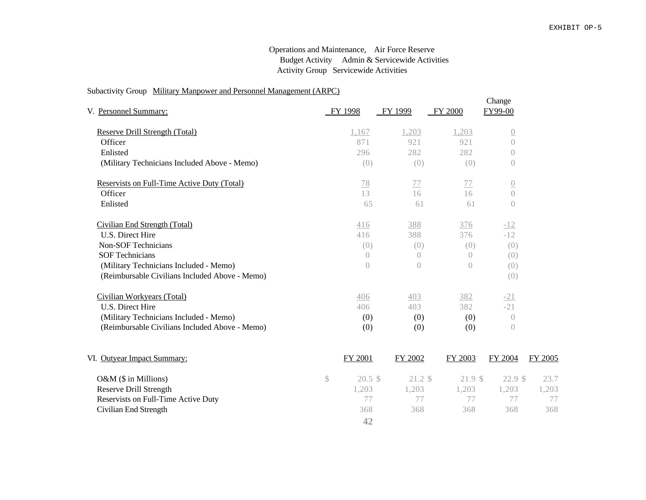#### Operations and Maintenance, Air Force Reserve Budget Activity Admin & Servicewide Activities Activity Group Servicewide Activities

#### Subactivity Group Military Manpower and Personnel Management (ARPC)

| V. Personnel Summary:                          | FY 1998        | FY 1999        | FY 2000    | Change<br>FY99-00 |
|------------------------------------------------|----------------|----------------|------------|-------------------|
| <b>Reserve Drill Strength (Total)</b>          | 1,167          | 1,203          | 1,203      | $\overline{0}$    |
| Officer                                        | 871            | 921            | 921        | $\overline{0}$    |
| Enlisted                                       | 296            | 282            | 282        | 0                 |
| (Military Technicians Included Above - Memo)   | (0)            | (0)            | (0)        | $\theta$          |
| Reservists on Full-Time Active Duty (Total)    | $\frac{78}{2}$ | 77             | 77         | $\overline{0}$    |
| Officer                                        | 13             | 16             | 16         | $\bigcap$         |
| Enlisted                                       | 65             | 61             | 61         | $\theta$          |
| Civilian End Strength (Total)                  | 416            | 388            | 376        | $-12$             |
| U.S. Direct Hire                               | 416            | 388            | 376        | $-12$             |
| Non-SOF Technicians                            | (0)            | (0)            | (0)        | (0)               |
| <b>SOF Technicians</b>                         | $\bigcirc$     | $\bigcirc$     | $\bigcirc$ | (0)               |
| (Military Technicians Included - Memo)         | $\bigcap$      | $\overline{0}$ | $\bigcap$  | (0)               |
| (Reimbursable Civilians Included Above - Memo) |                |                |            | (0)               |
| Civilian Workyears (Total)                     | 406            | 403            | 382        | $-21$             |
| U.S. Direct Hire                               | 406            | 403            | 382        | $-21$             |
| (Military Technicians Included - Memo)         | (0)            | (0)            | (0)        | $\bigcap$         |
| (Reimbursable Civilians Included Above - Memo) | (0)            | (0)            | (0)        | $\left( \right)$  |
|                                                |                |                |            |                   |

| VI. Outyear Impact Summary:         | FY 2001          | FY 2002 | FY 2003 | FY 2004 | FY 2005 |
|-------------------------------------|------------------|---------|---------|---------|---------|
| $O\&M$ (\$ in Millions)             | $20.5 \text{ s}$ | 21.2 \$ | 21.9 \$ | 22.9 \$ | 23.7    |
| Reserve Drill Strength              | 1.203            | 1.203   | 1.203   | .203    | .203    |
| Reservists on Full-Time Active Duty |                  |         |         |         |         |
| Civilian End Strength               | 368              | 368     | 368     | 368     | 368     |
|                                     | 42               |         |         |         |         |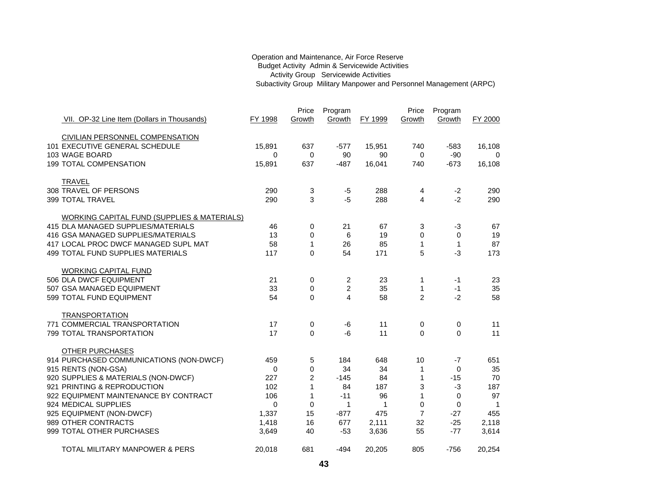#### Operation and Maintenance, Air Force Reserve Budget Activity Admin & Servicewide Activities Activity Group Servicewide Activities Subactivity Group Military Manpower and Personnel Management (ARPC)

|                                                                      |            | Price          | Program        |         | Price          | Program      |                    |
|----------------------------------------------------------------------|------------|----------------|----------------|---------|----------------|--------------|--------------------|
| VII. OP-32 Line Item (Dollars in Thousands)                          | FY 1998    | Growth         | Growth         | FY 1999 | Growth         | Growth       | FY 2000            |
|                                                                      |            |                |                |         |                |              |                    |
| <b>CIVILIAN PERSONNEL COMPENSATION</b>                               |            |                |                |         |                |              |                    |
| 101 EXECUTIVE GENERAL SCHEDULE                                       | 15,891     | 637            | $-577$         | 15,951  | 740            | $-583$       | 16,108             |
| 103 WAGE BOARD                                                       | 0          | 0              | 90             | 90      | 0              | $-90$        | $\mathbf 0$        |
| 199 TOTAL COMPENSATION                                               | 15,891     | 637            | $-487$         | 16,041  | 740            | $-673$       | 16,108             |
|                                                                      |            |                |                |         |                |              |                    |
| TRAVEL                                                               |            |                |                |         |                |              |                    |
| 308 TRAVEL OF PERSONS                                                | 290        | 3              | $-5$           | 288     | 4              | $-2$         | 290                |
| 399 TOTAL TRAVEL                                                     | 290        | 3              | $-5$           | 288     | 4              | $-2$         | 290                |
|                                                                      |            |                |                |         |                |              |                    |
| <b>WORKING CAPITAL FUND (SUPPLIES &amp; MATERIALS)</b>               |            |                |                |         |                |              |                    |
| 415 DLA MANAGED SUPPLIES/MATERIALS                                   | 46         | 0              | 21             | 67      | 3              | $-3$         | 67                 |
| 416 GSA MANAGED SUPPLIES/MATERIALS                                   | 13         | 0              | 6              | 19      | 0              | 0            | 19                 |
| 417 LOCAL PROC DWCF MANAGED SUPL MAT                                 | 58         | $\mathbf{1}$   | 26             | 85      | $\mathbf{1}$   | $\mathbf{1}$ | 87                 |
| 499 TOTAL FUND SUPPLIES MATERIALS                                    | 117        | $\Omega$       | 54             | 171     | 5              | $-3$         | 173                |
|                                                                      |            |                |                |         |                |              |                    |
| <b>WORKING CAPITAL FUND</b>                                          |            |                |                |         |                |              |                    |
| 506 DLA DWCF EQUIPMENT                                               | 21         | 0              | 2              | 23      | 1              | $-1$         | 23                 |
| 507 GSA MANAGED EQUIPMENT                                            | 33         | 0              | $\overline{c}$ | 35      | 1              | $-1$         | 35                 |
| 599 TOTAL FUND EQUIPMENT                                             | 54         | $\Omega$       | 4              | 58      | $\overline{2}$ | $-2$         | 58                 |
|                                                                      |            |                |                |         |                |              |                    |
| <b>TRANSPORTATION</b>                                                |            |                |                |         |                |              |                    |
| 771 COMMERCIAL TRANSPORTATION                                        | 17         | 0              | -6             | 11      | 0              | 0            | 11                 |
| 799 TOTAL TRANSPORTATION                                             | 17         | 0              | $-6$           | 11      | $\mathbf 0$    | $\Omega$     | 11                 |
|                                                                      |            |                |                |         |                |              |                    |
| <b>OTHER PURCHASES</b>                                               |            |                |                |         |                |              |                    |
| 914 PURCHASED COMMUNICATIONS (NON-DWCF)                              | 459        | 5              | 184            | 648     | 10             | $-7$         | 651                |
| 915 RENTS (NON-GSA)                                                  | 0<br>227   | 0              | 34             | 34      | $\mathbf{1}$   | 0            | 35                 |
| 920 SUPPLIES & MATERIALS (NON-DWCF)                                  |            | $\overline{c}$ | $-145$         | 84      | 1              | $-15$        | 70                 |
| 921 PRINTING & REPRODUCTION<br>922 EQUIPMENT MAINTENANCE BY CONTRACT | 102<br>106 | 1<br>1         | 84<br>$-11$    | 187     | 3<br>1         | $-3$         | 187<br>97          |
| 924 MEDICAL SUPPLIES                                                 | 0          | 0              | 1              | 96<br>1 | 0              | 0<br>0       |                    |
| 925 EQUIPMENT (NON-DWCF)                                             | 1,337      | 15             | $-877$         | 475     | $\overline{7}$ | $-27$        | $\mathbf 1$<br>455 |
| 989 OTHER CONTRACTS                                                  |            | 16             | 677            | 2,111   | 32             | $-25$        | 2,118              |
| 999 TOTAL OTHER PURCHASES                                            | 1,418      | 40             | $-53$          |         | 55             | $-77$        |                    |
|                                                                      | 3,649      |                |                | 3,636   |                |              | 3,614              |
| <b>TOTAL MILITARY MANPOWER &amp; PERS</b>                            | 20,018     | 681            | $-494$         | 20,205  | 805            | $-756$       | 20,254             |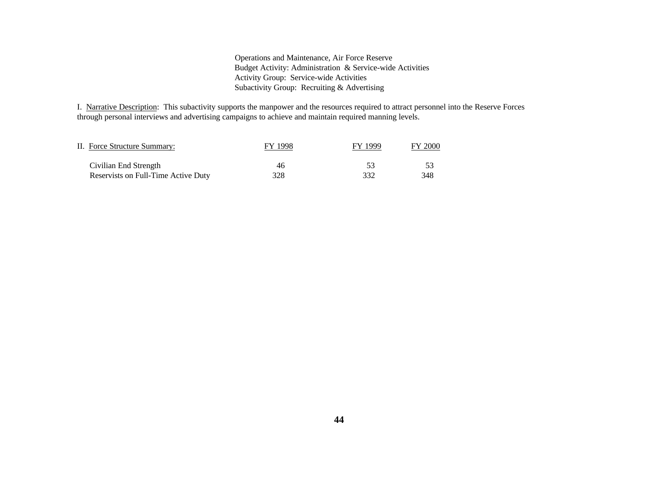Operations and Maintenance, Air Force Reserve Budget Activity: Administration & Service-wide Activities Activity Group: Service-wide Activities Subactivity Group: Recruiting & Advertising

I. Narrative Description: This subactivity supports the manpower and the resources required to attract personnel into the Reserve Forces through personal interviews and advertising campaigns to achieve and maintain required manning levels.

| II. Force Structure Summary:        | FY 1998 | FY 1999 | <b>FY 2000</b> |
|-------------------------------------|---------|---------|----------------|
| Civilian End Strength               | 46      |         |                |
| Reservists on Full-Time Active Duty | 328     | 332     | 348            |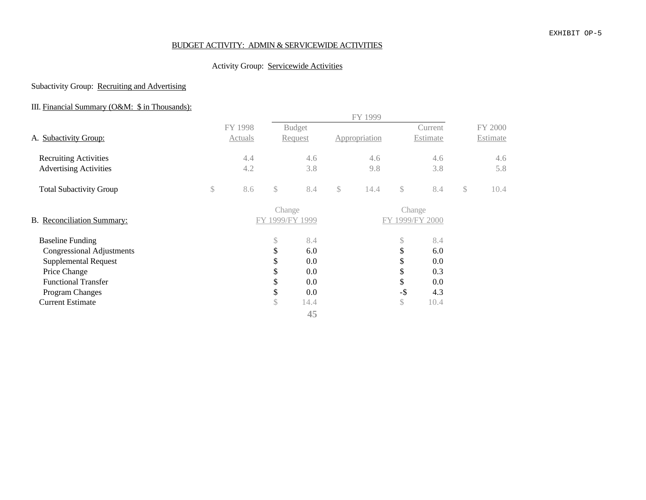#### EXHIBIT OP-5

## BUDGET ACTIVITY: ADMIN & SERVICEWIDE ACTIVITIES

## Activity Group: Servicewide Activities

## Subactivity Group: Recruiting and Advertising

## III. Financial Summary (O&M: \$ in Thousands):

|                                  |           |        |                 | FY 1999       |                 |          |            |
|----------------------------------|-----------|--------|-----------------|---------------|-----------------|----------|------------|
|                                  | FY 1998   |        | <b>Budget</b>   |               |                 | Current  | FY 2000    |
| A. Subactivity Group:            | Actuals   |        | Request         | Appropriation |                 | Estimate | Estimate   |
| <b>Recruiting Activities</b>     | 4.4       |        | 4.6             | 4.6           |                 | 4.6      | 4.6        |
| <b>Advertising Activities</b>    | 4.2       |        | 3.8             | 9.8           |                 | 3.8      | 5.8        |
| <b>Total Subactivity Group</b>   | \$<br>8.6 | \$     | 8.4             | \$<br>14.4    | $\mathcal{S}$   | 8.4      | \$<br>10.4 |
|                                  |           | Change |                 |               | Change          |          |            |
| B. Reconciliation Summary:       |           |        | FY 1999/FY 1999 |               | FY 1999/FY 2000 |          |            |
| <b>Baseline Funding</b>          |           | \$     | 8.4             |               | $\mathbb{S}$    | 8.4      |            |
| <b>Congressional Adjustments</b> |           | \$     | 6.0             |               | \$              | 6.0      |            |
| <b>Supplemental Request</b>      |           | \$     | 0.0             |               | \$              | 0.0      |            |
| Price Change                     |           | \$     | 0.0             |               | \$              | 0.3      |            |
| <b>Functional Transfer</b>       |           | \$     | 0.0             |               | \$              | 0.0      |            |
| <b>Program Changes</b>           |           | \$     | 0.0             |               | $-\$$           | 4.3      |            |
| <b>Current Estimate</b>          |           | \$     | 14.4            |               | $\mathbb{S}$    | 10.4     |            |
|                                  |           |        | 45              |               |                 |          |            |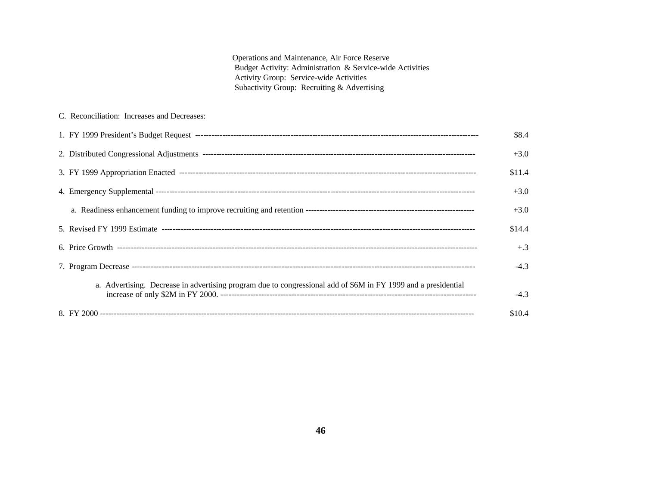Operations and Maintenance, Air Force Reserve Budget Activity: Administration & Service-wide Activities Activity Group: Service-wide Activities Subactivity Group: Recruiting & Advertising

#### C. Reconciliation: Increases and Decreases:

|                                                                                                                | \$8.4  |
|----------------------------------------------------------------------------------------------------------------|--------|
|                                                                                                                | $+3.0$ |
|                                                                                                                | \$11.4 |
|                                                                                                                | $+3.0$ |
|                                                                                                                | $+3.0$ |
|                                                                                                                | \$14.4 |
|                                                                                                                | $+.3$  |
|                                                                                                                | $-4.3$ |
| a. Advertising. Decrease in advertising program due to congressional add of \$6M in FY 1999 and a presidential | $-4.3$ |
|                                                                                                                | \$10.4 |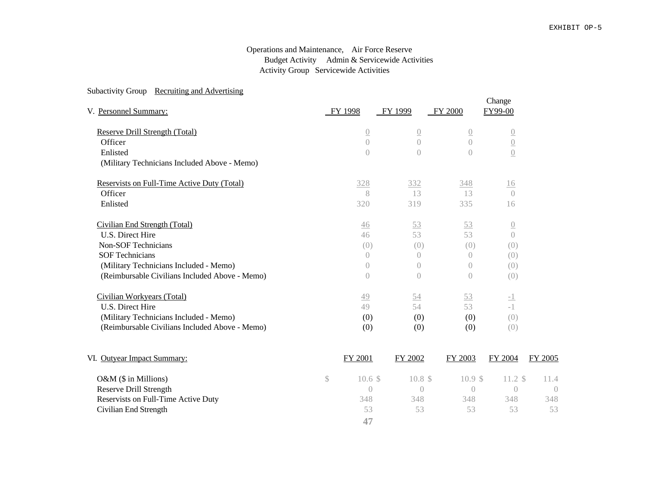#### Operations and Maintenance, Air Force Reserve Budget Activity Admin & Servicewide Activities Activity Group Servicewide Activities

#### Subactivity Group Recruiting and Advertising

| V. Personnel Summary:                          | FY 1998          | FY 1999          | FY 2000          | Change<br>FY99-00 |         |
|------------------------------------------------|------------------|------------------|------------------|-------------------|---------|
| <b>Reserve Drill Strength (Total)</b>          | $\overline{0}$   | $\overline{0}$   | $\overline{0}$   | $\overline{0}$    |         |
| Officer                                        | $\overline{0}$   | $\overline{0}$   | $\overline{0}$   | $\underline{0}$   |         |
| Enlisted                                       | $\overline{0}$   | $\left( \right)$ | $\bigcap$        | $\underline{0}$   |         |
| (Military Technicians Included Above - Memo)   |                  |                  |                  |                   |         |
| Reservists on Full-Time Active Duty (Total)    | 328              | 332              | 348              | 16                |         |
| Officer                                        | 8                | 13               | 13               | $\bigcap$         |         |
| Enlisted                                       | 320              | 319              | 335              | 16                |         |
| Civilian End Strength (Total)                  | $\frac{46}{5}$   | 53               | 53               | $\overline{0}$    |         |
| U.S. Direct Hire                               | 46               | 53               | 53               | $\bigcap$         |         |
| <b>Non-SOF Technicians</b>                     | (0)              | (0)              | (0)              | (0)               |         |
| <b>SOF Technicians</b>                         | $\left( \right)$ | $\left( \right)$ | $\bigcirc$       | (0)               |         |
| (Military Technicians Included - Memo)         | $\overline{0}$   | $\bigcirc$       | $\left( \right)$ | (0)               |         |
| (Reimbursable Civilians Included Above - Memo) | $\left( \right)$ | $\left( \right)$ | $\left( \right)$ | (0)               |         |
| Civilian Workyears (Total)                     | 49               | 54               | 53               | $\overline{-1}$   |         |
| U.S. Direct Hire                               | 49               | 54               | 53               | $-1$              |         |
| (Military Technicians Included - Memo)         | (0)              | (0)              | (0)              | (0)               |         |
| (Reimbursable Civilians Included Above - Memo) | (0)              | (0)              | (0)              | (0)               |         |
| VI. Outyear Impact Summary:                    | FY 2001          | FY 2002          | FY 2003          | FY 2004           | FY 2005 |

| $O&M$ (\$ in Millions)              | 10.6 S | 10.8 \$ | 10.9 S | 11.2 S | 11.4 |
|-------------------------------------|--------|---------|--------|--------|------|
| Reserve Drill Strength              |        |         |        |        |      |
| Reservists on Full-Time Active Duty | 348    | 348     | 348    | 348    | 348  |
| Civilian End Strength               | 53     | 53      | 53     | 53     | 53   |
|                                     | 47     |         |        |        |      |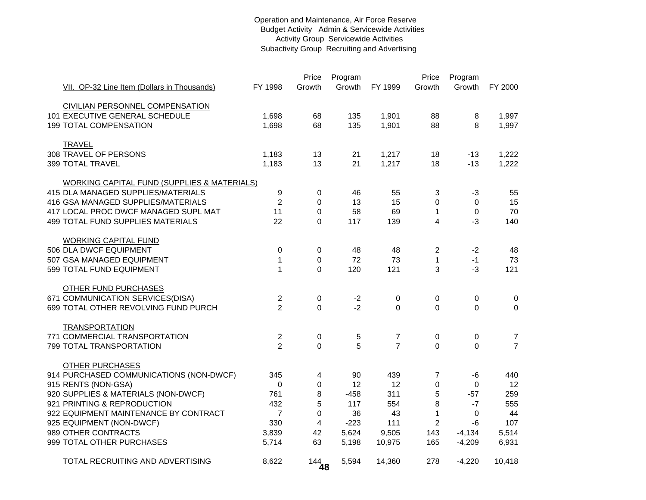#### Operation and Maintenance, Air Force Reserve Budget Activity Admin & Servicewide Activities Activity Group Servicewide Activities Subactivity Group Recruiting and Advertising

|                                                        |                | Price       | Program |                | Price          | Program          |                |
|--------------------------------------------------------|----------------|-------------|---------|----------------|----------------|------------------|----------------|
| VII. OP-32 Line Item (Dollars in Thousands)            | FY 1998        | Growth      | Growth  | FY 1999        | Growth         | Growth           | FY 2000        |
| CIVILIAN PERSONNEL COMPENSATION                        |                |             |         |                |                |                  |                |
| 101 EXECUTIVE GENERAL SCHEDULE                         | 1,698          | 68          | 135     | 1,901          | 88             | 8                | 1,997          |
| <b>199 TOTAL COMPENSATION</b>                          | 1,698          | 68          | 135     | 1,901          | 88             | 8                | 1,997          |
|                                                        |                |             |         |                |                |                  |                |
| <b>TRAVEL</b>                                          |                |             |         |                |                |                  |                |
| 308 TRAVEL OF PERSONS                                  | 1,183          | 13          | 21      | 1,217          | 18             | $-13$            | 1,222          |
| 399 TOTAL TRAVEL                                       | 1,183          | 13          | 21      | 1,217          | 18             | $-13$            | 1,222          |
| <b>WORKING CAPITAL FUND (SUPPLIES &amp; MATERIALS)</b> |                |             |         |                |                |                  |                |
| 415 DLA MANAGED SUPPLIES/MATERIALS                     | 9              | 0           | 46      | 55             | 3              | $-3$             | 55             |
| 416 GSA MANAGED SUPPLIES/MATERIALS                     | $\overline{2}$ | $\Omega$    | 13      | 15             | $\Omega$       | 0                | 15             |
| 417 LOCAL PROC DWCF MANAGED SUPL MAT                   | 11             | 0           | 58      | 69             | $\mathbf 1$    | $\boldsymbol{0}$ | 70             |
| <b>499 TOTAL FUND SUPPLIES MATERIALS</b>               | 22             | $\Omega$    | 117     | 139            | $\overline{4}$ | $-3$             | 140            |
|                                                        |                |             |         |                |                |                  |                |
| <b>WORKING CAPITAL FUND</b>                            |                |             |         |                |                |                  |                |
| 506 DLA DWCF EQUIPMENT                                 | 0              | 0           | 48      | 48             | $\overline{c}$ | $-2$             | 48             |
| 507 GSA MANAGED EQUIPMENT                              | 1              | 0           | 72      | 73             | $\mathbf{1}$   | $-1$             | 73             |
| 599 TOTAL FUND EQUIPMENT                               | $\mathbf 1$    | $\mathbf 0$ | 120     | 121            | 3              | $-3$             | 121            |
| <b>OTHER FUND PURCHASES</b>                            |                |             |         |                |                |                  |                |
| 671 COMMUNICATION SERVICES(DISA)                       | $\overline{2}$ | 0           | $-2$    | 0              | 0              | 0                | 0              |
| 699 TOTAL OTHER REVOLVING FUND PURCH                   | $\overline{2}$ | $\mathbf 0$ | $-2$    | $\mathbf 0$    | $\mathbf 0$    | 0                | 0              |
|                                                        |                |             |         |                |                |                  |                |
| <b>TRANSPORTATION</b>                                  |                |             |         |                |                |                  |                |
| 771 COMMERCIAL TRANSPORTATION                          | $\overline{c}$ | 0           | 5       | 7              | 0              | 0                | $\overline{7}$ |
| 799 TOTAL TRANSPORTATION                               | $\overline{2}$ | $\Omega$    | 5       | $\overline{7}$ | $\Omega$       | $\Omega$         | $\overline{7}$ |
| <b>OTHER PURCHASES</b>                                 |                |             |         |                |                |                  |                |
| 914 PURCHASED COMMUNICATIONS (NON-DWCF)                | 345            | 4           | 90      | 439            | $\overline{7}$ | -6               | 440            |
| 915 RENTS (NON-GSA)                                    | $\mathbf 0$    | 0           | 12      | 12             | 0              | 0                | 12             |
| 920 SUPPLIES & MATERIALS (NON-DWCF)                    | 761            | 8           | $-458$  | 311            | 5              | $-57$            | 259            |
| 921 PRINTING & REPRODUCTION                            | 432            | 5           | 117     | 554            | 8              | $-7$             | 555            |
| 922 EQUIPMENT MAINTENANCE BY CONTRACT                  | $\overline{7}$ | 0           | 36      | 43             | $\mathbf 1$    | 0                | 44             |
| 925 EQUIPMENT (NON-DWCF)                               | 330            | 4           | $-223$  | 111            | $\overline{2}$ | -6               | 107            |
| 989 OTHER CONTRACTS                                    | 3,839          | 42          | 5,624   | 9,505          | 143            | $-4,134$         | 5,514          |
| 999 TOTAL OTHER PURCHASES                              | 5,714          | 63          | 5,198   | 10,975         | 165            | $-4,209$         | 6,931          |
|                                                        |                |             |         |                |                |                  |                |
| TOTAL RECRUITING AND ADVERTISING                       | 8,622          | $144$<br>48 | 5,594   | 14,360         | 278            | $-4,220$         | 10,418         |
|                                                        |                |             |         |                |                |                  |                |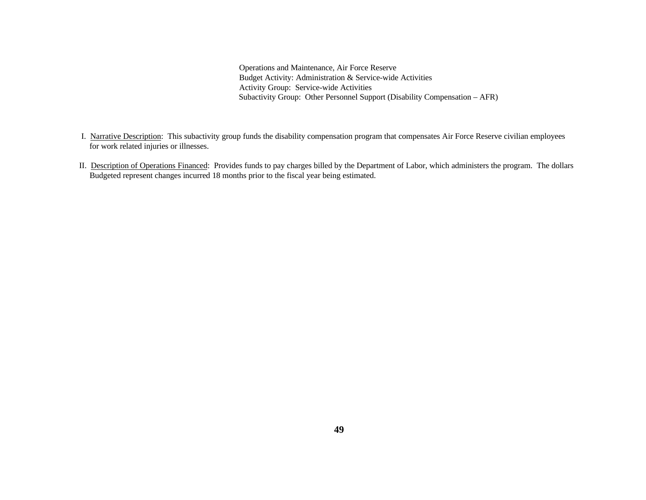Operations and Maintenance, Air Force Reserve Budget Activity: Administration & Service-wide Activities Activity Group: Service-wide Activities Subactivity Group: Other Personnel Support (Disability Compensation – AFR)

- I. Narrative Description: This subactivity group funds the disability compensation program that compensates Air Force Reserve civilian employees for work related injuries or illnesses.
- II. Description of Operations Financed: Provides funds to pay charges billed by the Department of Labor, which administers the program. The dollars Budgeted represent changes incurred 18 months prior to the fiscal year being estimated.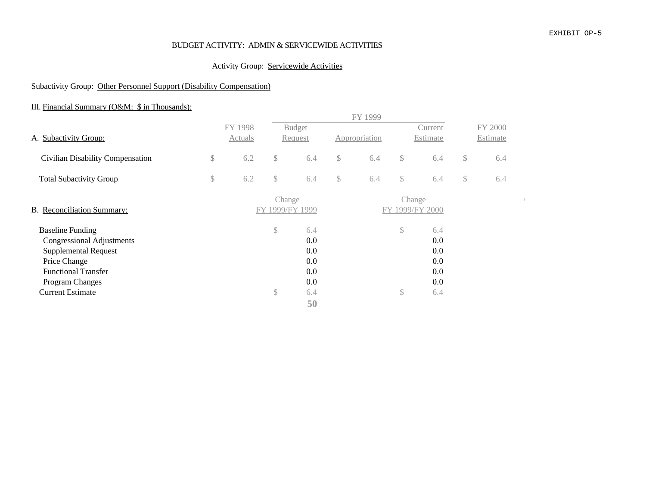#### EXHIBIT OP-5

#### BUDGET ACTIVITY: ADMIN & SERVICEWIDE ACTIVITIES

## Activity Group: Servicewide Activities

## Subactivity Group: Other Personnel Support (Disability Compensation)

# III. Financial Summary (O&M: \$ in Thousands):

|                                                                                                                                                                                        |              |                    |                           |                                               |               | FY 1999       |                    |                                               |              |                     |  |
|----------------------------------------------------------------------------------------------------------------------------------------------------------------------------------------|--------------|--------------------|---------------------------|-----------------------------------------------|---------------|---------------|--------------------|-----------------------------------------------|--------------|---------------------|--|
| A. Subactivity Group:                                                                                                                                                                  |              | FY 1998<br>Actuals |                           | <b>Budget</b><br>Request                      |               | Appropriation |                    | Current<br>Estimate                           |              | FY 2000<br>Estimate |  |
| Civilian Disability Compensation                                                                                                                                                       | $\mathbb{S}$ | 6.2                | $\mathcal{S}$             | 6.4                                           | $\mathbb{S}$  | 6.4           | $\mathcal{S}$      | 6.4                                           | $\mathbb{S}$ | 6.4                 |  |
| <b>Total Subactivity Group</b>                                                                                                                                                         | \$           | 6.2                | $\mathcal{S}$             | 6.4                                           | $\mathcal{S}$ | 6.4           | $\mathcal{S}$      | 6.4                                           | $\mathbb{S}$ | 6.4                 |  |
| B. Reconciliation Summary:                                                                                                                                                             |              |                    | Change<br>FY 1999/FY 1999 |                                               |               |               | Change             | FY 1999/FY 2000                               |              |                     |  |
| <b>Baseline Funding</b><br>Congressional Adjustments<br><b>Supplemental Request</b><br>Price Change<br><b>Functional Transfer</b><br><b>Program Changes</b><br><b>Current Estimate</b> |              |                    | \$<br>\$                  | 6.4<br>0.0<br>0.0<br>0.0<br>0.0<br>0.0<br>6.4 |               |               | \$<br>$\mathbb{S}$ | 6.4<br>0.0<br>0.0<br>0.0<br>0.0<br>0.0<br>6.4 |              |                     |  |
|                                                                                                                                                                                        |              |                    |                           | 50                                            |               |               |                    |                                               |              |                     |  |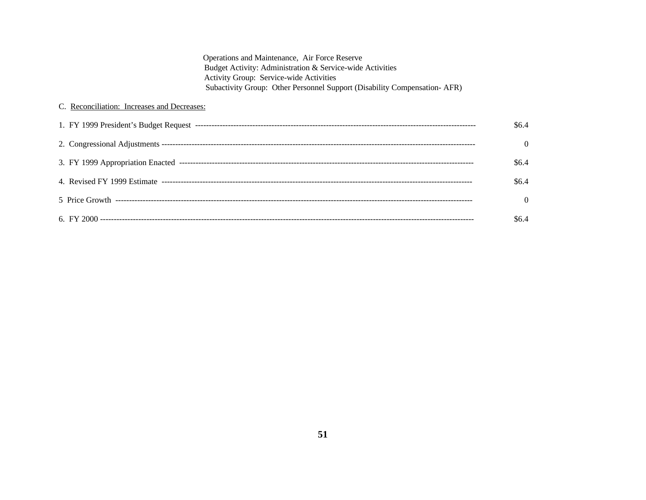| Operations and Maintenance, Air Force Reserve                            |
|--------------------------------------------------------------------------|
| Budget Activity: Administration & Service-wide Activities                |
| <b>Activity Group: Service-wide Activities</b>                           |
| Subactivity Group: Other Personnel Support (Disability Compensation-AFR) |

# C. Reconciliation: Increases and Decreases:

| \$6.4\$        |
|----------------|
| $\overline{0}$ |
| \$6.4\$        |
| \$6.4\$        |
| $\Omega$       |
| \$6.4          |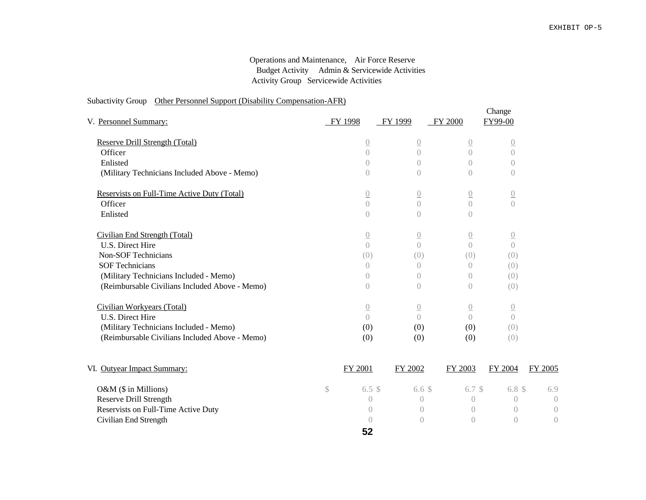## Operations and Maintenance, Air Force Reserve Budget Activity Admin & Servicewide Activities Activity Group Servicewide Activities

## Subactivity Group Other Personnel Support (Disability Compensation-AFR)

| V. Personnel Summary:                          |              | FY 1998          | FY 1999          | FY 2000          | Change<br>FY99-00            |                  |
|------------------------------------------------|--------------|------------------|------------------|------------------|------------------------------|------------------|
| Reserve Drill Strength (Total)                 |              | $\overline{0}$   | $\overline{0}$   | $\underline{0}$  | $\underline{0}$              |                  |
| Officer                                        |              | $\left( \right)$ | $\bigcap$        | $\bigcap$        | $\bigcap$                    |                  |
| Enlisted                                       |              | $\bigcap$        | $\bigcap$        | $\bigcap$        | $\bigcap$                    |                  |
| (Military Technicians Included Above - Memo)   |              | $\sqrt{a}$       | $\left( \right)$ | $\bigcap$        | $\bigcirc$                   |                  |
| Reservists on Full-Time Active Duty (Total)    |              | $\underline{0}$  | $\underline{0}$  | $\underline{0}$  | $\underline{0}$              |                  |
| Officer                                        |              | $\overline{0}$   | $\bigcap$        | $\bigcap$        | $\bigcap$                    |                  |
| Enlisted                                       |              | $\sqrt{a}$       | $\left( \right)$ | $\left( \right)$ |                              |                  |
| Civilian End Strength (Total)                  |              | $\underline{0}$  | $\underline{0}$  | $\underline{0}$  | $\underline{\underline{()}}$ |                  |
| U.S. Direct Hire                               |              | $\left( \right)$ | $\bigcap$        | $\bigcap$        | $\bigcap$                    |                  |
| <b>Non-SOF Technicians</b>                     |              | (0)              | (0)              | (0)              | (0)                          |                  |
| <b>SOF Technicians</b>                         |              | $\overline{0}$   | $\left( \right)$ | $\left( \right)$ | (0)                          |                  |
| (Military Technicians Included - Memo)         |              | $\bigcirc$       | $\bigcirc$       | $\left( \right)$ | (0)                          |                  |
| (Reimbursable Civilians Included Above - Memo) |              | $\left( \right)$ | $\bigcap$        | $\bigcap$        | (0)                          |                  |
| Civilian Workyears (Total)                     |              | $\underline{0}$  | $\underline{0}$  | $\underline{0}$  | $\underline{0}$              |                  |
| U.S. Direct Hire                               |              | $\bigcap$        | $\bigcap$        | $\bigcap$        | $\left( \right)$             |                  |
| (Military Technicians Included - Memo)         |              | (0)              | (0)              | (0)              | (0)                          |                  |
| (Reimbursable Civilians Included Above - Memo) |              | (0)              | (0)              | (0)              | (0)                          |                  |
| VI. Outyear Impact Summary:                    |              | FY 2001          | FY 2002          | FY 2003          | FY 2004                      | FY 2005          |
| O&M (\$ in Millions)                           | $\mathbb{S}$ | 6.5 <sup>°</sup> | 6.6 <sup>°</sup> | 6.7 <sup>°</sup> | 6.8 <sup>°</sup>             | 6.9              |
| <b>Reserve Drill Strength</b>                  |              | $\bigcirc$       | $\bigcap$        | $\bigcap$        | $\left( \right)$             | $\left( \right)$ |
| Reservists on Full-Time Active Duty            |              | $\bigcap$        | $\bigcap$        | $\bigcap$        | $\bigcap$                    | $\overline{0}$   |
| Civilian End Strength                          |              | $\left( \right)$ | $\bigcap$        | $\bigcirc$       | $\bigcap$                    | $\overline{0}$   |

**52**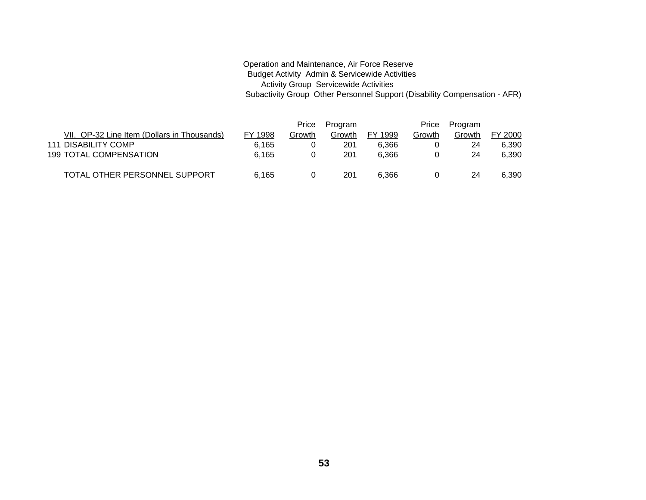#### Operation and Maintenance, Air Force Reserve Budget Activity Admin & Servicewide Activities Activity Group Servicewide Activities Subactivity Group Other Personnel Support (Disability Compensation - AFR)

|                                             |         | Price  | Program |         | Price  | Program |         |
|---------------------------------------------|---------|--------|---------|---------|--------|---------|---------|
| VII. OP-32 Line Item (Dollars in Thousands) | FY 1998 | Growth | Growth  | FY 1999 | Growth | Growth  | FY 2000 |
| 111 DISABILITY COMP                         | 6.165   |        | 201     | 6.366   |        | 24      | 6,390   |
| <b>199 TOTAL COMPENSATION</b>               | 6.165   |        | 201     | 6.366   |        | 24      | 6,390   |
| TOTAL OTHER PERSONNEL SUPPORT               | 6.165   |        | 201     | 6.366   | 0      | 24      | 6,390   |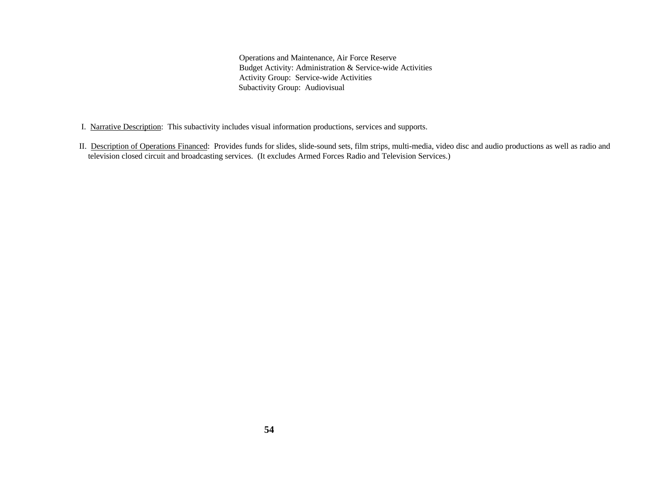Operations and Maintenance, Air Force Reserve Budget Activity: Administration & Service-wide Activities Activity Group: Service-wide Activities Subactivity Group: Audiovisual

- I. Narrative Description: This subactivity includes visual information productions, services and supports.
- II. Description of Operations Financed: Provides funds for slides, slide-sound sets, film strips, multi-media, video disc and audio productions as well as radio and television closed circuit and broadcasting services. (It excludes Armed Forces Radio and Television Services.)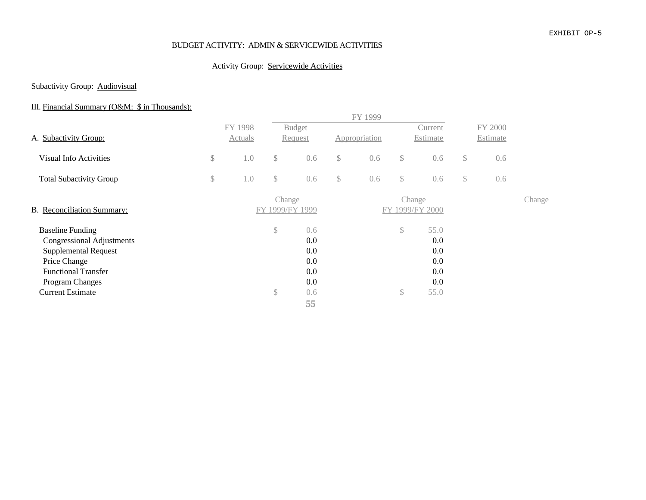#### EXHIBIT OP-5

#### BUDGET ACTIVITY: ADMIN & SERVICEWIDE ACTIVITIES

## Activity Group: Servicewide Activities

## Subactivity Group: **Audiovisual**

# III. Financial Summary (O&M: \$ in Thousands):

|              | Actuals |          |                                               |                                                                    |     |                          | Current                                         |                                       |     |                     |
|--------------|---------|----------|-----------------------------------------------|--------------------------------------------------------------------|-----|--------------------------|-------------------------------------------------|---------------------------------------|-----|---------------------|
| $\mathbb{S}$ | 1.0     | \$       | 0.6                                           | $\mathcal{S}$                                                      | 0.6 | $\mathcal{S}$            | 0.6                                             | \$                                    | 0.6 |                     |
| \$           | 1.0     | \$       | 0.6                                           | $\$\,$                                                             | 0.6 | \$                       | 0.6                                             | \$                                    | 0.6 |                     |
|              |         |          |                                               |                                                                    |     |                          |                                                 |                                       |     | Change              |
|              |         | \$<br>\$ | 0.6<br>0.0<br>0.0<br>0.0<br>0.0<br>0.0<br>0.6 |                                                                    |     | \$<br>\$                 | 55.0<br>0.0<br>0.0<br>0.0<br>0.0<br>0.0<br>55.0 |                                       |     |                     |
|              |         | FY 1998  |                                               | <b>Budget</b><br><b>Request</b><br>Change<br>FY 1999/FY 1999<br>55 |     | FY 1999<br>Appropriation |                                                 | Estimate<br>Change<br>FY 1999/FY 2000 |     | FY 2000<br>Estimate |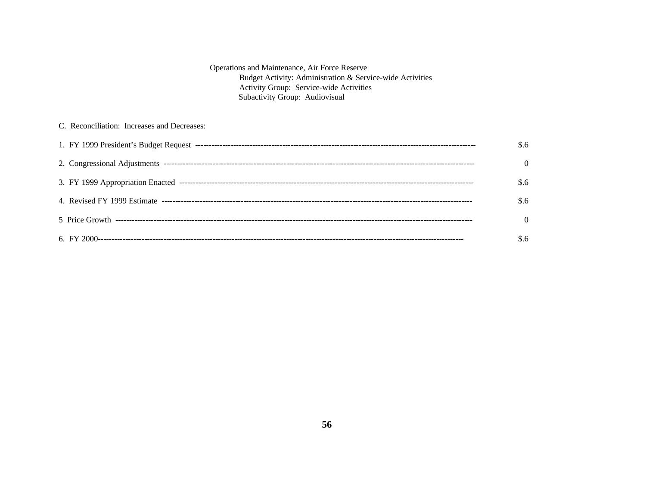| Operations and Maintenance, Air Force Reserve             |
|-----------------------------------------------------------|
| Budget Activity: Administration & Service-wide Activities |
| <b>Activity Group: Service-wide Activities</b>            |
| Subactivity Group: Audiovisual                            |

## C. Reconciliation: Increases and Decreases:

| \$.6     |
|----------|
| $\Omega$ |
| \$.6     |
| \$.6     |
| $\Omega$ |
| \$.6     |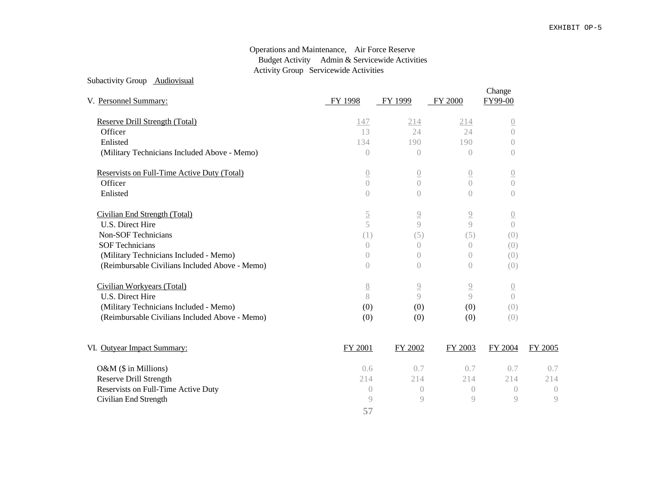#### Operations and Maintenance, Air Force Reserve Budget Activity Admin & Servicewide Activities Activity Group Servicewide Activities

|--|

| V. Personnel Summary:                          | FY 1998          | FY 1999          | FY 2000        | Change<br>FY99-00 |         |
|------------------------------------------------|------------------|------------------|----------------|-------------------|---------|
| Reserve Drill Strength (Total)                 | 147              | 214              | 214            | $\overline{0}$    |         |
| Officer                                        | 13               | 24               | 24             | $\sqrt{a}$        |         |
| Enlisted                                       | 134              | 190              | 190            | $\left( \right)$  |         |
| (Military Technicians Included Above - Memo)   | $\left( \right)$ | $\bigcirc$       | $\bigcap$      | $\bigcirc$        |         |
| Reservists on Full-Time Active Duty (Total)    | $\overline{0}$   | $\overline{0}$   | $\overline{0}$ | $\overline{0}$    |         |
| Officer                                        | $\left( \right)$ | $\bigcap$        | $\bigcap$      | $\bigcirc$        |         |
| Enlisted                                       | $\left( \right)$ | $\bigcirc$       | $\bigcap$      | $\bigcirc$        |         |
| Civilian End Strength (Total)                  | $\underline{5}$  | $\overline{2}$   | $\overline{9}$ | $\overline{0}$    |         |
| U.S. Direct Hire                               | 5                | $\mathcal{Q}$    | $\circ$        | $\bigcap$         |         |
| <b>Non-SOF Technicians</b>                     | (1)              | (5)              | (5)            | (0)               |         |
| <b>SOF Technicians</b>                         | $\bigcap$        | $\bigcirc$       | $\bigcirc$     | (0)               |         |
| (Military Technicians Included - Memo)         | $\bigcirc$       | $\left( \right)$ | $\bigcirc$     | (0)               |         |
| (Reimbursable Civilians Included Above - Memo) | $\overline{0}$   | $\left( \right)$ | $\bigcap$      | (0)               |         |
| Civilian Workyears (Total)                     | $\underline{8}$  | $\overline{9}$   | $\overline{9}$ | $\underline{0}$   |         |
| U.S. Direct Hire                               | 8                | Q                | $\bigcirc$     | $\bigcap$         |         |
| (Military Technicians Included - Memo)         | (0)              | (0)              | (0)            | (0)               |         |
| (Reimbursable Civilians Included Above - Memo) | (0)              | (0)              | (0)            | (0)               |         |
| VI. Outyear Impact Summary:                    | FY 2001          | FY 2002          | FY 2003        | FY 2004           | FY 2005 |
| O&M (\$ in Millions)                           | 0.6              | 0.7              | 0.7            | 0.7               | 0.7     |

| -214 | -214 | 214                                                        | 214 |
|------|------|------------------------------------------------------------|-----|
|      |      |                                                            |     |
|      |      | $\cup$                                                     | - 9 |
|      |      | $\begin{array}{ccccccc}\n 9 & & & 9 & & & 9\n \end{array}$ |     |

| 001 | FY 2002 | FY 2003 | FY 2004 | <b>FY 20</b> |
|-----|---------|---------|---------|--------------|
| 0.6 | 0.7     | 0.7     | 0.7     |              |
| 214 | 214     | 214     | 214     |              |
|     |         |         |         |              |
|     |         |         |         |              |
| 57  |         |         |         |              |